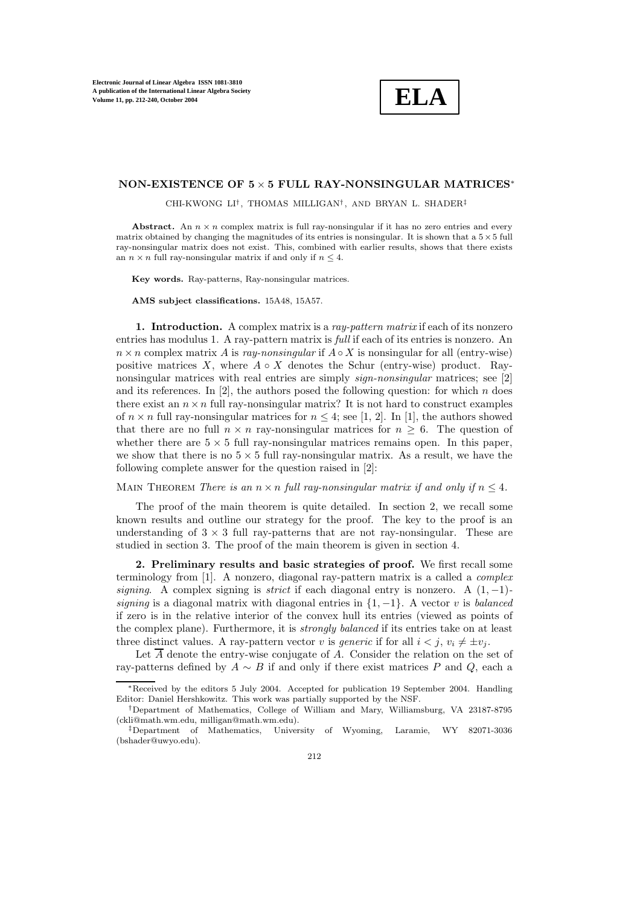**ELA**

## **NON-EXISTENCE OF 5** × **5 FULL RAY-NONSINGULAR MATRICES**<sup>∗</sup>

CHI-KWONG LI†, THOMAS MILLIGAN† , AND BRYAN L. SHADER‡

**Abstract.** An  $n \times n$  complex matrix is full ray-nonsingular if it has no zero entries and every matrix obtained by changing the magnitudes of its entries is nonsingular. It is shown that a  $5 \times 5$  full ray-nonsingular matrix does not exist. This, combined with earlier results, shows that there exists an  $n \times n$  full ray-nonsingular matrix if and only if  $n \leq 4$ .

**Key words.** Ray-patterns, Ray-nonsingular matrices.

**AMS subject classifications.** 15A48, 15A57.

**1. Introduction.** A complex matrix is a *ray-pattern matrix* if each of its nonzero entries has modulus 1. A ray-pattern matrix is *full* if each of its entries is nonzero. An  $n \times n$  complex matrix A is  $rav-nonsingular$  if  $A \circ X$  is nonsingular for all (entry-wise) positive matrices X, where  $A \circ X$  denotes the Schur (entry-wise) product. Raynonsingular matrices with real entries are simply *sign-nonsingular* matrices; see [2] and its references. In [2], the authors posed the following question: for which n does there exist an  $n \times n$  full ray-nonsingular matrix? It is not hard to construct examples of  $n \times n$  full ray-nonsingular matrices for  $n \leq 4$ ; see [1, 2]. In [1], the authors showed that there are no full  $n \times n$  ray-nonsingular matrices for  $n > 6$ . The question of whether there are  $5 \times 5$  full ray-nonsingular matrices remains open. In this paper, we show that there is no  $5 \times 5$  full ray-nonsingular matrix. As a result, we have the following complete answer for the question raised in [2]:

MAIN THEOREM *There is an*  $n \times n$  *full ray-nonsingular matrix if and only if*  $n \leq 4$ *.* 

The proof of the main theorem is quite detailed. In section 2, we recall some known results and outline our strategy for the proof. The key to the proof is an understanding of  $3 \times 3$  full ray-patterns that are not ray-nonsingular. These are studied in section 3. The proof of the main theorem is given in section 4.

**2. Preliminary results and basic strategies of proof.** We first recall some terminology from [1]. A nonzero, diagonal ray-pattern matrix is a called a *complex signing*. A complex signing is *strict* if each diagonal entry is nonzero. A (1, −1) *signing* is a diagonal matrix with diagonal entries in {1, −1}. A vector v is *balanced* if zero is in the relative interior of the convex hull its entries (viewed as points of the complex plane). Furthermore, it is *strongly balanced* if its entries take on at least three distinct values. A ray-pattern vector v is *generic* if for all  $i < j$ ,  $v_i \neq \pm v_j$ .

Let  $\overline{A}$  denote the entry-wise conjugate of A. Consider the relation on the set of ray-patterns defined by  $A \sim B$  if and only if there exist matrices P and Q, each a

<sup>∗</sup>Received by the editors 5 July 2004. Accepted for publication 19 September 2004. Handling Editor: Daniel Hershkowitz. This work was partially supported by the NSF.

<sup>†</sup>Department of Mathematics, College of William and Mary, Williamsburg, VA 23187-8795 (ckli@math.wm.edu, milligan@math.wm.edu).

<sup>‡</sup>Department of Mathematics, University of Wyoming, Laramie, WY 82071-3036 (bshader@uwyo.edu).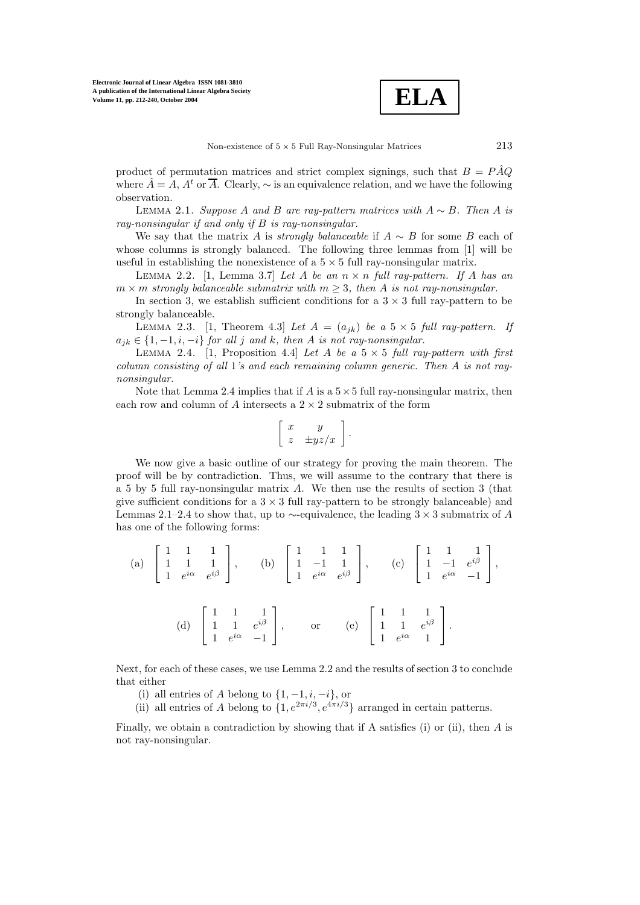**ELA**

product of permutation matrices and strict complex signings, such that  $B = P\overline{A}Q$ where  $\tilde{A} = A$ ,  $A^t$  or  $\overline{A}$ . Clearly,  $\sim$  is an equivalence relation, and we have the following observation.

Lemma 2.1. *Suppose* A *and* B *are ray-pattern matrices with* A ∼ B*. Then* A *is ray-nonsingular if and only if* B *is ray-nonsingular.*

We say that the matrix A is *strongly balanceable* if A ∼ B for some B each of whose columns is strongly balanced. The following three lemmas from [1] will be useful in establishing the nonexistence of a  $5 \times 5$  full ray-nonsingular matrix.

LEMMA 2.2. [1, Lemma 3.7] *Let*  $A$  *be an*  $n \times n$  *full ray-pattern. If*  $A$  *has an*  $m \times m$  *strongly balanceable submatrix with*  $m \geq 3$ *, then* A *is not ray-nonsingular.* 

In section 3, we establish sufficient conditions for a  $3 \times 3$  full ray-pattern to be strongly balanceable.

LEMMA 2.3. [1, Theorem 4.3] Let  $A = (a_{jk})$  be a  $5 \times 5$  full ray-pattern. If  $a_{ik} \in \{1, -1, i, -i\}$  *for all j and k, then A is not ray-nonsingular.* 

LEMMA 2.4. [1, Proposition 4.4] *Let* A *be a*  $5 \times 5$  *full ray-pattern with first column consisting of all* 1*'s and each remaining column generic. Then* A *is not raynonsingular.*

Note that Lemma 2.4 implies that if A is a  $5 \times 5$  full ray-nonsingular matrix, then each row and column of A intersects a  $2 \times 2$  submatrix of the form

$$
\left[\begin{array}{cc} x & y \\ z & \pm yz/x \end{array}\right].
$$

We now give a basic outline of our strategy for proving the main theorem. The proof will be by contradiction. Thus, we will assume to the contrary that there is a 5 by 5 full ray-nonsingular matrix A. We then use the results of section 3 (that give sufficient conditions for a  $3 \times 3$  full ray-pattern to be strongly balanceable) and Lemmas 2.1–2.4 to show that, up to ∼-equivalence, the leading  $3 \times 3$  submatrix of A has one of the following forms:

(a) 
$$
\begin{bmatrix} 1 & 1 & 1 \\ 1 & 1 & 1 \\ 1 & e^{i\alpha} & e^{i\beta} \end{bmatrix}
$$
, (b)  $\begin{bmatrix} 1 & 1 & 1 \\ 1 & -1 & 1 \\ 1 & e^{i\alpha} & e^{i\beta} \end{bmatrix}$ , (c)  $\begin{bmatrix} 1 & 1 & 1 \\ 1 & -1 & e^{i\beta} \\ 1 & e^{i\alpha} & -1 \end{bmatrix}$ ,  
(d)  $\begin{bmatrix} 1 & 1 & 1 \\ 1 & 1 & e^{i\beta} \\ 1 & e^{i\alpha} & -1 \end{bmatrix}$ , or (e)  $\begin{bmatrix} 1 & 1 & 1 \\ 1 & 1 & e^{i\beta} \\ 1 & e^{i\alpha} & 1 \end{bmatrix}$ .

Next, for each of these cases, we use Lemma 2.2 and the results of section 3 to conclude that either

- (i) all entries of A belong to  $\{1, -1, i, -i\}$ , or
- (ii) all entries of A belong to  $\{1, e^{2\pi i/3}, e^{4\pi i/3}\}\$  arranged in certain patterns.

Finally, we obtain a contradiction by showing that if A satisfies (i) or (ii), then  $A$  is not ray-nonsingular.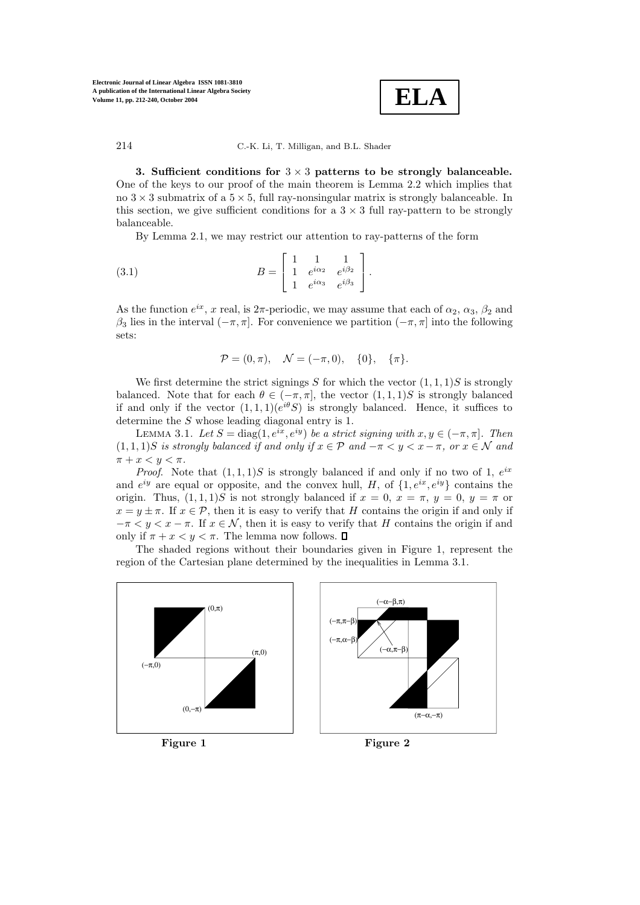

**3. Sufficient conditions for** 3 × 3 **patterns to be strongly balanceable.** One of the keys to our proof of the main theorem is Lemma 2.2 which implies that no  $3 \times 3$  submatrix of a  $5 \times 5$ , full ray-nonsingular matrix is strongly balanceable. In this section, we give sufficient conditions for a  $3 \times 3$  full ray-pattern to be strongly balanceable.

By Lemma 2.1, we may restrict our attention to ray-patterns of the form

(3.1) 
$$
B = \begin{bmatrix} 1 & 1 & 1 \\ 1 & e^{i\alpha_2} & e^{i\beta_2} \\ 1 & e^{i\alpha_3} & e^{i\beta_3} \end{bmatrix}.
$$

As the function  $e^{ix}$ , x real, is  $2\pi$ -periodic, we may assume that each of  $\alpha_2$ ,  $\alpha_3$ ,  $\beta_2$  and  $β_3$  lies in the interval  $(-π, π]$ . For convenience we partition  $(-π, π]$  into the following sets:

$$
\mathcal{P} = (0, \pi), \quad \mathcal{N} = (-\pi, 0), \quad \{0\}, \quad \{\pi\}.
$$

We first determine the strict signings S for which the vector  $(1, 1, 1)$ S is strongly balanced. Note that for each  $\theta \in (-\pi, \pi]$ , the vector  $(1, 1, 1)S$  is strongly balanced if and only if the vector  $(1, 1, 1)(e^{i\theta}S)$  is strongly balanced. Hence, it suffices to determine the S whose leading diagonal entry is 1.

LEMMA 3.1. *Let*  $S = \text{diag}(1, e^{ix}, e^{iy})$  *be a strict signing with*  $x, y \in (-\pi, \pi]$ *. Then*  $(1, 1, 1)$ S *is strongly balanced if and only if*  $x \in \mathcal{P}$  *and*  $-\pi < y < x - \pi$ , or  $x \in \mathcal{N}$  and  $\pi + x < y < \pi$ .

*Proof.* Note that  $(1,1,1)S$  is strongly balanced if and only if no two of 1,  $e^{ix}$ and  $e^{iy}$  are equal or opposite, and the convex hull, H, of  $\{1, e^{ix}, e^{iy}\}$  contains the origin. Thus,  $(1,1,1)S$  is not strongly balanced if  $x = 0$ ,  $x = \pi$ ,  $y = 0$ ,  $y = \pi$  or  $x = y \pm \pi$ . If  $x \in \mathcal{P}$ , then it is easy to verify that H contains the origin if and only if  $-\pi < y < x - \pi$ . If  $x \in \mathcal{N}$ , then it is easy to verify that H contains the origin if and only if  $\pi + x < y < \pi$ . The lemma now follows.  $\Box$ 

The shaded regions without their boundaries given in Figure 1, represent the region of the Cartesian plane determined by the inequalities in Lemma 3.1.







**Figure 2**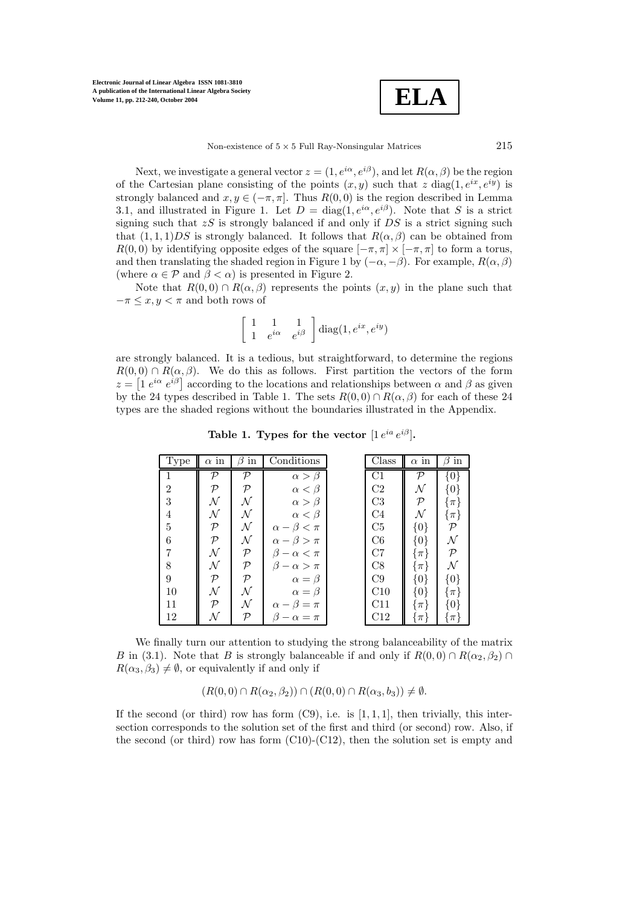

Non-existence of  $5 \times 5$  Full Ray-Nonsingular Matrices 215

Next, we investigate a general vector  $z = (1, e^{i\alpha}, e^{i\beta})$ , and let  $R(\alpha, \beta)$  be the region of the Cartesian plane consisting of the points  $(x, y)$  such that z diag(1,  $e^{ix}$ ,  $e^{iy}$ ) is strongly balanced and  $x, y \in (-\pi, \pi]$ . Thus  $R(0, 0)$  is the region described in Lemma 3.1, and illustrated in Figure 1. Let  $D = \text{diag}(1, e^{i\alpha}, e^{i\beta})$ . Note that S is a strict signing such that  $zS$  is strongly balanced if and only if  $DS$  is a strict signing such that  $(1, 1, 1)DS$  is strongly balanced. It follows that  $R(\alpha, \beta)$  can be obtained from  $R(0,0)$  by identifying opposite edges of the square  $[-\pi,\pi] \times [-\pi,\pi]$  to form a torus, and then translating the shaded region in Figure 1 by  $(-\alpha, -\beta)$ . For example,  $R(\alpha, \beta)$ (where  $\alpha \in \mathcal{P}$  and  $\beta < \alpha$ ) is presented in Figure 2.

Note that  $R(0,0) \cap R(\alpha,\beta)$  represents the points  $(x, y)$  in the plane such that  $-\pi \leq x, y < \pi$  and both rows of

$$
\left[\begin{array}{cc} 1 & 1 & 1 \\ 1 & e^{i\alpha} & e^{i\beta} \end{array}\right] \text{diag}(1, e^{ix}, e^{iy})
$$

are strongly balanced. It is a tedious, but straightforward, to determine the regions  $R(0,0) \cap R(\alpha,\beta)$ . We do this as follows. First partition the vectors of the form  $z = \left[1 e^{i\alpha} e^{i\beta}\right]$  according to the locations and relationships between  $\alpha$  and  $\beta$  as given by the 24 types described in Table 1. The sets  $R(0,0) \cap R(\alpha,\beta)$  for each of these 24 types are the shaded regions without the boundaries illustrated in the Appendix.

**Table 1. Types for the vector**  $[1 e^{ia} e^{i\beta}]$ .

| Type           | $\alpha$ in   | $\operatorname{in}$<br>ß | Conditions                  | Class          | $\alpha$ in  | $\operatorname{in}$<br>ß |
|----------------|---------------|--------------------------|-----------------------------|----------------|--------------|--------------------------|
|                | ${\cal P}$    | ${\cal P}$               | $\alpha > \beta$            | $\mathrm{C}1$  | ${\cal P}$   | $\{0\}$                  |
| $\overline{2}$ | ${\cal P}$    | $\mathcal{P}$            | $\alpha < \beta$            | C <sub>2</sub> | ${\cal N}$   | $\{0\}$                  |
| 3              | N             | ${\cal N}$               | $\alpha > \beta$            | C <sub>3</sub> | $\mathcal P$ | $\{ \pi \}$              |
| 4              | ${\cal N}$    | $\mathcal N$             | $\alpha < \beta$            | C <sub>4</sub> | $\mathcal N$ | $\{\pi\}$                |
| 5              | ${\cal P}$    | ${\cal N}$               | $\alpha - \beta < \pi$      | C5             | $\{0\}$      | $\mathcal{P}$            |
| 6              | ${\cal P}$    | ${\cal N}$               | $\alpha - \beta > \pi$      | C6             | $\{0\}$      | N                        |
| 7              | N             | $\mathcal{P}$            | ß<br>$-\alpha < \pi$        | C7             | $\{ \pi \}$  | ${\cal P}$               |
| 8              | N             | $\mathcal{P}$            | $\alpha > \pi$              | C8             | $\{\pi\}$    | N                        |
| 9              | $\mathcal{P}$ | $\mathcal{P}$            | $\alpha = \beta$            | C9             | $\{0\}$      | $\{0\}$                  |
| 10             | ${\cal N}$    | ${\cal N}$               | $\alpha = \beta$            | C10            | {0}          | $\{\pi\}$                |
| 11             | ${\cal P}$    | N                        | $\beta = \pi$<br>$\alpha -$ | C11            | $\{\pi\}$    | {0}                      |
| 12             |               | ${\cal P}$               | $\alpha = \pi$              | C12            | $\pi$        | $\pi$                    |

We finally turn our attention to studying the strong balanceability of the matrix B in (3.1). Note that B is strongly balanceable if and only if  $R(0,0) \cap R(\alpha_2,\beta_2) \cap$  $R(\alpha_3, \beta_3) \neq \emptyset$ , or equivalently if and only if

$$
(R(0,0)\cap R(\alpha_2,\beta_2))\cap (R(0,0)\cap R(\alpha_3,b_3))\neq\emptyset.
$$

If the second (or third) row has form  $(C9)$ , i.e. is [1, 1, 1], then trivially, this intersection corresponds to the solution set of the first and third (or second) row. Also, if the second (or third) row has form  $(C10)-(C12)$ , then the solution set is empty and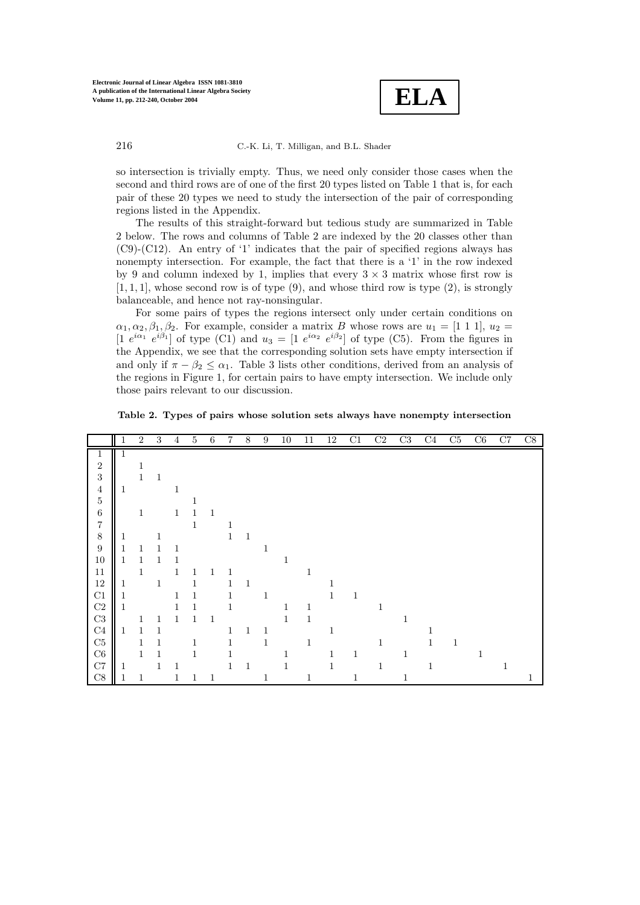

so intersection is trivially empty. Thus, we need only consider those cases when the second and third rows are of one of the first 20 types listed on Table 1 that is, for each pair of these 20 types we need to study the intersection of the pair of corresponding regions listed in the Appendix.

The results of this straight-forward but tedious study are summarized in Table 2 below. The rows and columns of Table 2 are indexed by the 20 classes other than (C9)-(C12). An entry of '1' indicates that the pair of specified regions always has nonempty intersection. For example, the fact that there is a '1' in the row indexed by 9 and column indexed by 1, implies that every  $3 \times 3$  matrix whose first row is  $[1, 1, 1]$ , whose second row is of type  $(9)$ , and whose third row is type  $(2)$ , is strongly balanceable, and hence not ray-nonsingular.

For some pairs of types the regions intersect only under certain conditions on  $\alpha_1, \alpha_2, \beta_1, \beta_2$ . For example, consider a matrix B whose rows are  $u_1 = \begin{bmatrix} 1 & 1 & 1 \end{bmatrix}$ ,  $u_2 =$ [1  $e^{i\alpha_1} e^{i\beta_1}$ ] of type (C1) and  $u_3 = [1 e^{i\alpha_2} e^{i\beta_2}]$  of type (C5). From the figures in the Appendix, we see that the corresponding solution sets have empty intersection if and only if  $\pi - \beta_2 \leq \alpha_1$ . Table 3 lists other conditions, derived from an analysis of the regions in Figure 1, for certain pairs to have empty intersection. We include only those pairs relevant to our discussion.

**Table 2. Types of pairs whose solution sets always have nonempty intersection**

|                  |   | $\overline{2}$ | 3            | 4            | $\overline{5}$ | 6            | 7            | $\,8\,$      | $\boldsymbol{9}$ | $10\,$       | $11\,$       | 12           | C1 | C2           | C3 | C <sub>4</sub> | C5           | C6           | C7 | C8 |
|------------------|---|----------------|--------------|--------------|----------------|--------------|--------------|--------------|------------------|--------------|--------------|--------------|----|--------------|----|----------------|--------------|--------------|----|----|
| 1                | 1 |                |              |              |                |              |              |              |                  |              |              |              |    |              |    |                |              |              |    |    |
| $\,2$            |   | $\mathbf{1}$   |              |              |                |              |              |              |                  |              |              |              |    |              |    |                |              |              |    |    |
| $\sqrt{3}$       |   | $\mathbf{1}$   | $\mathbf{1}$ |              |                |              |              |              |                  |              |              |              |    |              |    |                |              |              |    |    |
| $\,4\,$          | 1 |                |              | $\mathbf{1}$ |                |              |              |              |                  |              |              |              |    |              |    |                |              |              |    |    |
| $\bf 5$          |   |                |              |              | 1              |              |              |              |                  |              |              |              |    |              |    |                |              |              |    |    |
| $\,6$            |   | $\mathbf 1$    |              | $\mathbf{1}$ | 1              | 1            |              |              |                  |              |              |              |    |              |    |                |              |              |    |    |
| $\overline{7}$   |   |                |              |              | $\mathbf{1}$   |              | $\mathbf{1}$ |              |                  |              |              |              |    |              |    |                |              |              |    |    |
| $\,8\,$          | 1 |                | 1            |              |                |              | $\mathbf 1$  | $\mathbf{1}$ |                  |              |              |              |    |              |    |                |              |              |    |    |
| $\boldsymbol{9}$ | 1 |                |              |              |                |              |              |              | $\mathbf{1}$     |              |              |              |    |              |    |                |              |              |    |    |
| $10\,$           | 1 |                |              |              |                |              |              |              |                  | 1            |              |              |    |              |    |                |              |              |    |    |
| 11               |   | $\mathbf 1$    |              | $\mathbf{1}$ | 1              |              | 1            |              |                  |              | $\mathbf{1}$ |              |    |              |    |                |              |              |    |    |
| $12\,$           | 1 |                | $\mathbf{1}$ |              | 1              |              | 1            | $\mathbf{1}$ |                  |              |              | 1            |    |              |    |                |              |              |    |    |
| $\rm C1$         | 1 |                |              | $\mathbf{1}$ | 1              |              | 1            |              | $\mathbf{1}$     |              |              | $\mathbf{1}$ | 1  |              |    |                |              |              |    |    |
| $\rm{C2}$        | 1 |                |              | 1            | 1              |              | 1            |              |                  | 1            | 1            |              |    | 1            |    |                |              |              |    |    |
| $\rm C3$         |   | 1              |              | $\mathbf{1}$ | $\mathbf 1$    | $\mathbf{1}$ |              |              |                  | $\mathbf{1}$ | $\mathbf{1}$ |              |    |              | 1  |                |              |              |    |    |
| $\rm{C}4$        | 1 |                |              |              |                |              | 1            | 1            | $\mathbf{1}$     |              |              | 1            |    |              |    |                |              |              |    |    |
| $\rm C5$         |   | 1              | 1            |              | 1              |              | 1            |              | $\mathbf{1}$     |              | $\mathbf{1}$ |              |    | 1            |    | 1              | $\mathbf{1}$ |              |    |    |
| $\rm{C6}$        |   |                | 1            |              | 1              |              | 1            |              |                  |              |              | 1            | 1  |              | 1  |                |              | $\mathbf{1}$ |    |    |
| C7               | 1 |                | 1            |              |                |              | 1            | $\mathbf{1}$ |                  | 1            |              | 1            |    | $\mathbf{1}$ |    | 1              |              |              | 1  |    |
| C8               | T | 1              |              |              | 1              | $\mathbf{1}$ |              |              | 1                |              | $\mathbf{1}$ |              | 1  |              | 1  |                |              |              |    | 1  |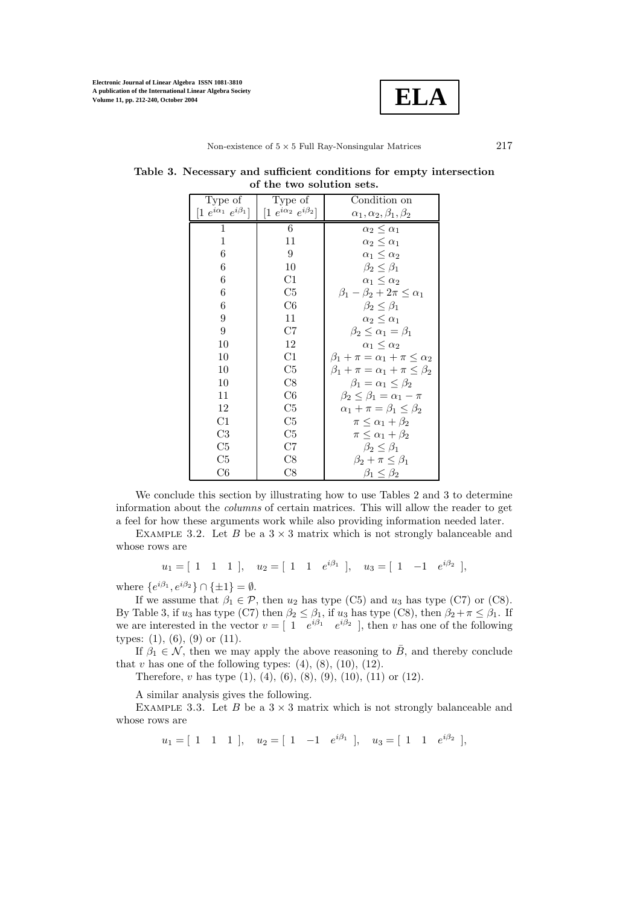

| Type of                          | Type of                          | Condition on                                   |
|----------------------------------|----------------------------------|------------------------------------------------|
| $[1 e^{i\alpha_1} e^{i\beta_1}]$ | $[1 e^{i\alpha_2} e^{i\beta_2}]$ | $\alpha_1, \alpha_2, \beta_1, \beta_2$         |
| <sup>1</sup>                     | 6                                | $\alpha_2 \leq \alpha_1$                       |
| 1                                | 11                               | $\alpha_2 \leq \alpha_1$                       |
| $6\phantom{.}6$                  | 9                                | $\alpha_1 \leq \alpha_2$                       |
| 6                                | 10                               | $\beta_2 \leq \beta_1$                         |
| 6                                | C1                               | $\alpha_1 \leq \alpha_2$                       |
| 6                                | C5                               | $\beta_1 - \beta_2 + 2\pi \leq \alpha_1$       |
| 6                                | C6                               | $\beta_2 \leq \beta_1$                         |
| 9                                | 11                               | $\alpha_2 \leq \alpha_1$                       |
| 9                                | C7                               | $\beta_2 \leq \alpha_1 = \beta_1$              |
| 10                               | 12                               | $\alpha_1 \leq \alpha_2$                       |
| 10                               | C1                               | $\beta_1 + \pi = \alpha_1 + \pi \leq \alpha_2$ |
| 10                               | C5                               | $\beta_1 + \pi = \alpha_1 + \pi \leq \beta_2$  |
| 10                               | C8                               | $\beta_1 = \alpha_1 \leq \beta_2$              |
| 11                               | C6                               | $\beta_2 \leq \beta_1 = \alpha_1 - \pi$        |
| 12                               | C5                               | $\alpha_1 + \pi = \beta_1 \leq \beta_2$        |
| C1                               | C5                               | $\pi \leq \alpha_1 + \beta_2$                  |
| C3                               | C5                               | $\pi \leq \alpha_1 + \beta_2$                  |
| C5                               | C7                               | $\beta_2 \leq \beta_1$                         |
| C5                               | C8                               | $\beta_2 + \pi \leq \beta_1$                   |
| C6                               | C8                               | $\beta_1 \leq \beta_2$                         |

**Table 3. Necessary and sufficient conditions for empty intersection of the two solution sets.**

We conclude this section by illustrating how to use Tables 2 and 3 to determine information about the *columns* of certain matrices. This will allow the reader to get a feel for how these arguments work while also providing information needed later.

EXAMPLE 3.2. Let B be a  $3 \times 3$  matrix which is not strongly balanceable and whose rows are

 $u_1 = [ 1 \ 1 \ 1], \quad u_2 = [ 1 \ 1 \ e^{i\beta_1} ], \quad u_3 = [ 1 \ -1 \ e^{i\beta_2} ],$ 

where  $\{e^{i\beta_1}, e^{i\beta_2}\}\cap \{\pm 1\}=\emptyset$ .

If we assume that  $\beta_1 \in \mathcal{P}$ , then  $u_2$  has type (C5) and  $u_3$  has type (C7) or (C8). By Table 3, if  $u_3$  has type (C7) then  $\beta_2 \leq \beta_1$ , if  $u_3$  has type (C8), then  $\beta_2 + \pi \leq \beta_1$ . If we are interested in the vector  $v = [1 \quad e^{i\beta_1} \quad e^{i\beta_2}]$ , then v has one of the following types:  $(1)$ ,  $(6)$ ,  $(9)$  or  $(11)$ .

If  $\beta_1 \in \mathcal{N}$ , then we may apply the above reasoning to  $\overline{B}$ , and thereby conclude that  $v$  has one of the following types:  $(4)$ ,  $(8)$ ,  $(10)$ ,  $(12)$ .

Therefore, v has type  $(1)$ ,  $(4)$ ,  $(6)$ ,  $(8)$ ,  $(9)$ ,  $(10)$ ,  $(11)$  or  $(12)$ .

A similar analysis gives the following.

EXAMPLE 3.3. Let B be a  $3 \times 3$  matrix which is not strongly balanceable and whose rows are

 $u_1 = [ 1 \ 1 \ 1], \quad u_2 = [ 1 \ -1 \ e^{i\beta_1}], \quad u_3 = [ 1 \ 1 \ e^{i\beta_2}],$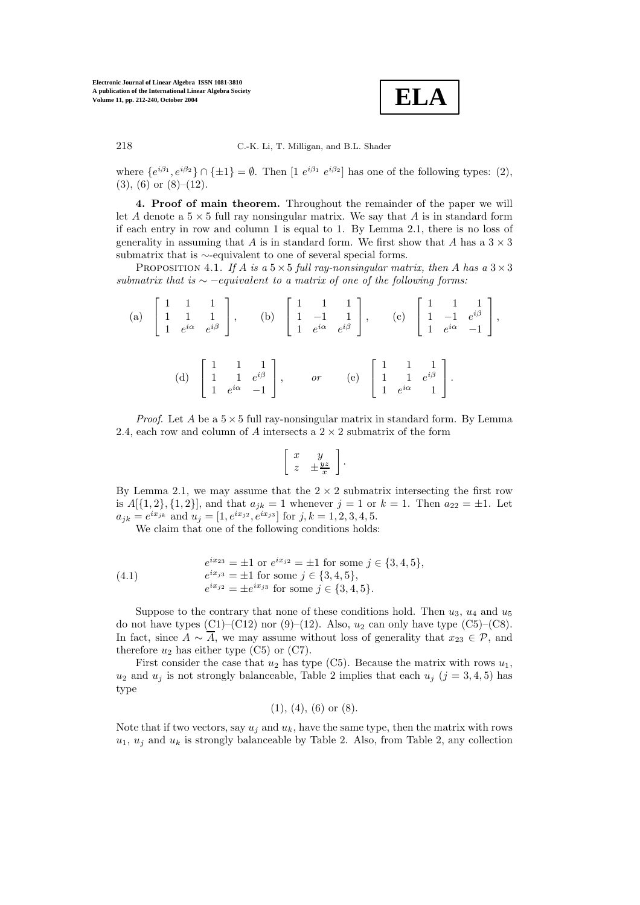

where  $\{e^{i\beta_1}, e^{i\beta_2}\} \cap \{\pm 1\} = \emptyset$ . Then  $[1 e^{i\beta_1} e^{i\beta_2}]$  has one of the following types: (2),  $(3)$ ,  $(6)$  or  $(8)$ – $(12)$ .

**4. Proof of main theorem.** Throughout the remainder of the paper we will let A denote a  $5 \times 5$  full ray nonsingular matrix. We say that A is in standard form if each entry in row and column 1 is equal to 1. By Lemma 2.1, there is no loss of generality in assuming that A is in standard form. We first show that A has a  $3 \times 3$ submatrix that is ∼-equivalent to one of several special forms.

PROPOSITION 4.1. *If* A *is a*  $5 \times 5$  *full ray-nonsingular matrix, then* A *has a*  $3 \times 3$ *submatrix that is* ∼ −equivalent *to a matrix of one of the following forms:*

(a) 
$$
\begin{bmatrix} 1 & 1 & 1 \\ 1 & 1 & 1 \\ 1 & e^{i\alpha} & e^{i\beta} \end{bmatrix}
$$
, (b)  $\begin{bmatrix} 1 & 1 & 1 \\ 1 & -1 & 1 \\ 1 & e^{i\alpha} & e^{i\beta} \end{bmatrix}$ , (c)  $\begin{bmatrix} 1 & 1 & 1 \\ 1 & -1 & e^{i\beta} \\ 1 & e^{i\alpha} & -1 \end{bmatrix}$ ,  
(d)  $\begin{bmatrix} 1 & 1 & 1 \\ 1 & 1 & e^{i\beta} \\ 1 & e^{i\alpha} & -1 \end{bmatrix}$ , or (e)  $\begin{bmatrix} 1 & 1 & 1 \\ 1 & 1 & e^{i\beta} \\ 1 & e^{i\alpha} & 1 \end{bmatrix}$ .

*Proof.* Let A be a  $5 \times 5$  full ray-nonsingular matrix in standard form. By Lemma 2.4, each row and column of A intersects a  $2 \times 2$  submatrix of the form

$$
\left[\begin{array}{cc} x & y \\ z & \pm \frac{yz}{x} \end{array}\right].
$$

By Lemma 2.1, we may assume that the  $2 \times 2$  submatrix intersecting the first row is  $A[{1, 2}, {1, 2}]$ , and that  $a_{jk} = 1$  whenever  $j = 1$  or  $k = 1$ . Then  $a_{22} = \pm 1$ . Let  $a_{jk} = e^{ix_{jk}}$  and  $u_j = [1, e^{ix_{j2}}, e^{ix_{j3}}]$  for  $j, k = 1, 2, 3, 4, 5$ .

We claim that one of the following conditions holds:

(4.1) 
$$
e^{ix_{23}} = \pm 1 \text{ or } e^{ix_{j2}} = \pm 1 \text{ for some } j \in \{3, 4, 5\},
$$

$$
e^{ix_{j3}} = \pm 1 \text{ for some } j \in \{3, 4, 5\},
$$

$$
e^{ix_{j2}} = \pm e^{ix_{j3}} \text{ for some } j \in \{3, 4, 5\}.
$$

Suppose to the contrary that none of these conditions hold. Then  $u_3$ ,  $u_4$  and  $u_5$ do not have types  $(C1)$ – $(C12)$  nor  $(9)$ – $(12)$ . Also,  $u_2$  can only have type  $(C5)$ – $(C8)$ . In fact, since  $A \sim \overline{A}$ , we may assume without loss of generality that  $x_{23} \in \mathcal{P}$ , and therefore  $u_2$  has either type (C5) or (C7).

First consider the case that  $u_2$  has type (C5). Because the matrix with rows  $u_1$ ,  $u_2$  and  $u_j$  is not strongly balanceable, Table 2 implies that each  $u_j$  ( $j = 3, 4, 5$ ) has type

$$
(1), (4), (6)
$$
 or  $(8)$ .

Note that if two vectors, say  $u_j$  and  $u_k$ , have the same type, then the matrix with rows  $u_1, u_j$  and  $u_k$  is strongly balanceable by Table 2. Also, from Table 2, any collection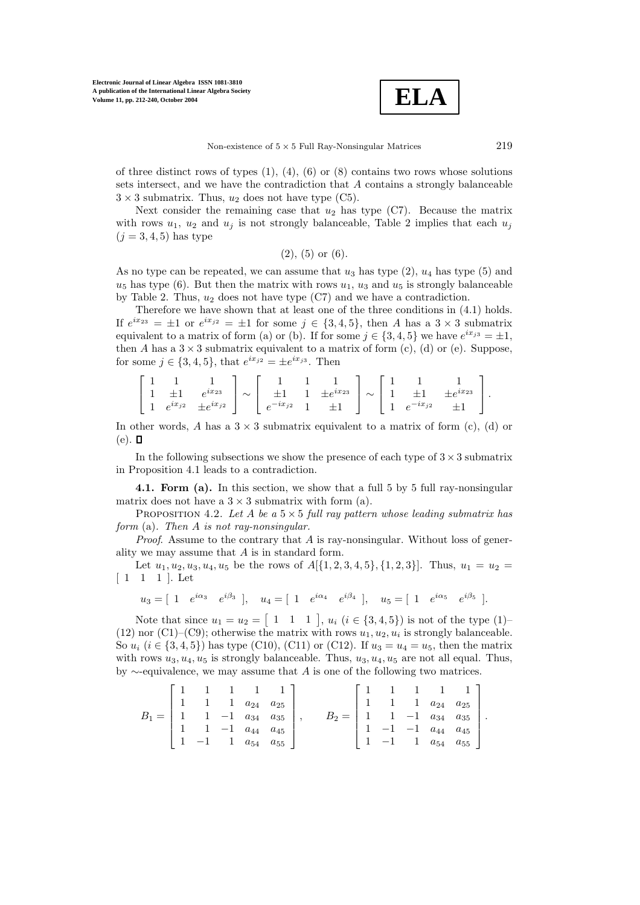

of three distinct rows of types  $(1)$ ,  $(4)$ ,  $(6)$  or  $(8)$  contains two rows whose solutions sets intersect, and we have the contradiction that A contains a strongly balanceable  $3 \times 3$  submatrix. Thus,  $u_2$  does not have type (C5).

Next consider the remaining case that  $u_2$  has type (C7). Because the matrix with rows  $u_1$ ,  $u_2$  and  $u_j$  is not strongly balanceable, Table 2 implies that each  $u_j$  $(i = 3, 4, 5)$  has type

$$
(2), (5)
$$
 or  $(6)$ .

As no type can be repeated, we can assume that  $u_3$  has type  $(2)$ ,  $u_4$  has type  $(5)$  and  $u_5$  has type (6). But then the matrix with rows  $u_1$ ,  $u_3$  and  $u_5$  is strongly balanceable by Table 2. Thus,  $u_2$  does not have type  $(C7)$  and we have a contradiction.

Therefore we have shown that at least one of the three conditions in (4.1) holds. If  $e^{ix_{23}} = \pm 1$  or  $e^{ix_{j2}} = \pm 1$  for some  $j \in \{3,4,5\}$ , then A has a  $3 \times 3$  submatrix equivalent to a matrix of form (a) or (b). If for some  $j \in \{3, 4, 5\}$  we have  $e^{ix_{j3}} = \pm 1$ , then A has a  $3 \times 3$  submatrix equivalent to a matrix of form (c), (d) or (e). Suppose, for some  $j \in \{3, 4, 5\}$ , that  $e^{ix_{j2}} = \pm e^{ix_{j3}}$ . Then

|  | $\pm 1$ $\pm 1$ $\sim$ | $e^{ix_{23}}$                                            | $\sim$ $\pm 1$ 1 $\pm e^{ix_{23}}$ |                           |  | $\sim$ 1 $\pm 1$ | $\pm e^{ix_{23}}$ |  |
|--|------------------------|----------------------------------------------------------|------------------------------------|---------------------------|--|------------------|-------------------|--|
|  |                        | 1 $e^{ix_j}$ $\pm e^{ix_j}$   $e^{-ix_j}$ $\pm e^{ix_j}$ |                                    | $\pm 1$     $1 e^{-ix_j}$ |  |                  |                   |  |

In other words, A has a  $3 \times 3$  submatrix equivalent to a matrix of form (c), (d) or  $(e)$ .  $\Box$ 

In the following subsections we show the presence of each type of  $3 \times 3$  submatrix in Proposition 4.1 leads to a contradiction.

**4.1. Form (a).** In this section, we show that a full 5 by 5 full ray-nonsingular matrix does not have a  $3 \times 3$  submatrix with form (a).

PROPOSITION 4.2. Let A be a  $5 \times 5$  full ray pattern whose leading submatrix has *form* (a)*. Then* A *is not ray-nonsingular.*

*Proof.* Assume to the contrary that A is ray-nonsingular. Without loss of generality we may assume that A is in standard form.

Let  $u_1, u_2, u_3, u_4, u_5$  be the rows of  $A[{1, 2, 3, 4, 5}, {1, 2, 3}]$ . Thus,  $u_1 = u_2$  $\begin{bmatrix} 1 & 1 & 1 \end{bmatrix}$ . Let

$$
u_3 = [1 \t e^{i\alpha_3} \t e^{i\beta_3}], \t u_4 = [1 \t e^{i\alpha_4} \t e^{i\beta_4}], \t u_5 = [1 \t e^{i\alpha_5} \t e^{i\beta_5}].
$$

Note that since  $u_1 = u_2 = \begin{bmatrix} 1 & 1 & 1 \end{bmatrix}$ ,  $u_i$   $(i \in \{3, 4, 5\})$  is not of the type  $(1)$ (12) nor (C1)–(C9); otherwise the matrix with rows  $u_1, u_2, u_i$  is strongly balanceable. So  $u_i$  ( $i \in \{3,4,5\}$ ) has type (C10), (C11) or (C12). If  $u_3 = u_4 = u_5$ , then the matrix with rows  $u_3, u_4, u_5$  is strongly balanceable. Thus,  $u_3, u_4, u_5$  are not all equal. Thus, by ∼-equivalence, we may assume that A is one of the following two matrices.

$$
B_1 = \begin{bmatrix} 1 & 1 & 1 & 1 & 1 \\ 1 & 1 & 1 & a_{24} & a_{25} \\ 1 & 1 & -1 & a_{34} & a_{35} \\ 1 & 1 & -1 & a_{44} & a_{45} \\ 1 & -1 & 1 & a_{54} & a_{55} \end{bmatrix}, \qquad B_2 = \begin{bmatrix} 1 & 1 & 1 & 1 & 1 \\ 1 & 1 & 1 & a_{24} & a_{25} \\ 1 & 1 & -1 & a_{34} & a_{35} \\ 1 & -1 & -1 & a_{44} & a_{45} \\ 1 & -1 & 1 & a_{54} & a_{55} \end{bmatrix}.
$$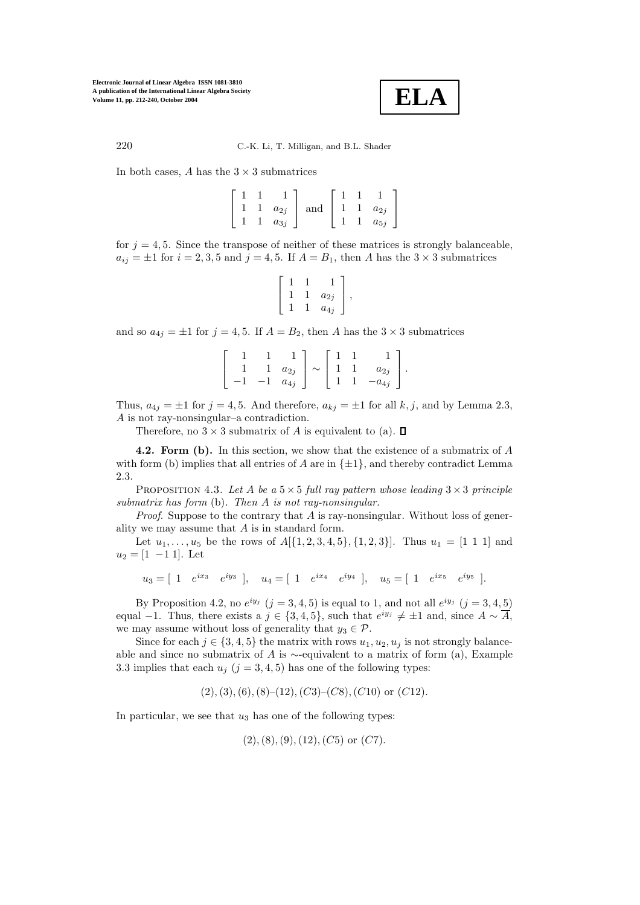

220 C.-K. Li, T. Milligan, and B.L. Shader

In both cases,  $A$  has the  $3 \times 3$  submatrices

|  | $a_{2j}$ | and |  | $a_{2j}$ |
|--|----------|-----|--|----------|
|  | $a_{3j}$ |     |  | $a_{5j}$ |

for  $j = 4, 5$ . Since the transpose of neither of these matrices is strongly balanceable,  $a_{ij} = \pm 1$  for  $i = 2, 3, 5$  and  $j = 4, 5$ . If  $A = B_1$ , then A has the  $3 \times 3$  submatrices

$$
\left[\begin{array}{ccc} 1 & 1 & 1 \\ 1 & 1 & a_{2j} \\ 1 & 1 & a_{4j} \end{array}\right],
$$

and so  $a_{4j} = \pm 1$  for  $j = 4, 5$ . If  $A = B_2$ , then A has the  $3 \times 3$  submatrices

|  | $a_{2j}$ | $\sim$ |  | $^{\mathrm{u_{2}}\mathrm{}}$ |  |
|--|----------|--------|--|------------------------------|--|
|  | $a_{4j}$ |        |  | $a_{4j}$                     |  |

Thus,  $a_{4j} = \pm 1$  for  $j = 4, 5$ . And therefore,  $a_{kj} = \pm 1$  for all k, j, and by Lemma 2.3, A is not ray-nonsingular–a contradiction.

Therefore, no  $3 \times 3$  submatrix of A is equivalent to (a).  $\Box$ 

**4.2. Form (b).** In this section, we show that the existence of a submatrix of A with form (b) implies that all entries of A are in  $\{\pm 1\}$ , and thereby contradict Lemma 2.3.

PROPOSITION 4.3. Let A be a  $5 \times 5$  full ray pattern whose leading  $3 \times 3$  principle *submatrix has form* (b)*. Then* A *is not ray-nonsingular.*

*Proof.* Suppose to the contrary that A is ray-nonsingular. Without loss of generality we may assume that A is in standard form.

Let  $u_1, \ldots, u_5$  be the rows of  $A[\{1, 2, 3, 4, 5\}, \{1, 2, 3\}]$ . Thus  $u_1 = [1 \ 1 \ 1]$  and  $u_2 = [1 -1 1]$ . Let

 $u_3 = [ 1 \quad e^{ix_3} \quad e^{iy_3} ], \quad u_4 = [ 1 \quad e^{ix_4} \quad e^{iy_4} ], \quad u_5 = [ 1 \quad e^{ix_5} \quad e^{iy_5} ].$ 

By Proposition 4.2, no  $e^{iy_j}$   $(j = 3, 4, 5)$  is equal to 1, and not all  $e^{iy_j}$   $(j = 3, 4, 5)$ equal −1. Thus, there exists a  $j \in \{3,4,5\}$ , such that  $e^{iy_j} \neq \pm 1$  and, since  $A \sim \overline{A}$ , we may assume without loss of generality that  $y_3 \in \mathcal{P}$ .

Since for each  $j \in \{3,4,5\}$  the matrix with rows  $u_1, u_2, u_j$  is not strongly balanceable and since no submatrix of A is  $\sim$ -equivalent to a matrix of form (a), Example 3.3 implies that each  $u_j$  ( $j = 3, 4, 5$ ) has one of the following types:

 $(2), (3), (6), (8)$ – $(12), (C3)$ – $(C8), (C10)$  or  $(C12)$ .

In particular, we see that  $u_3$  has one of the following types:

$$
(2), (8), (9), (12), (C5)
$$
 or  $(C7)$ .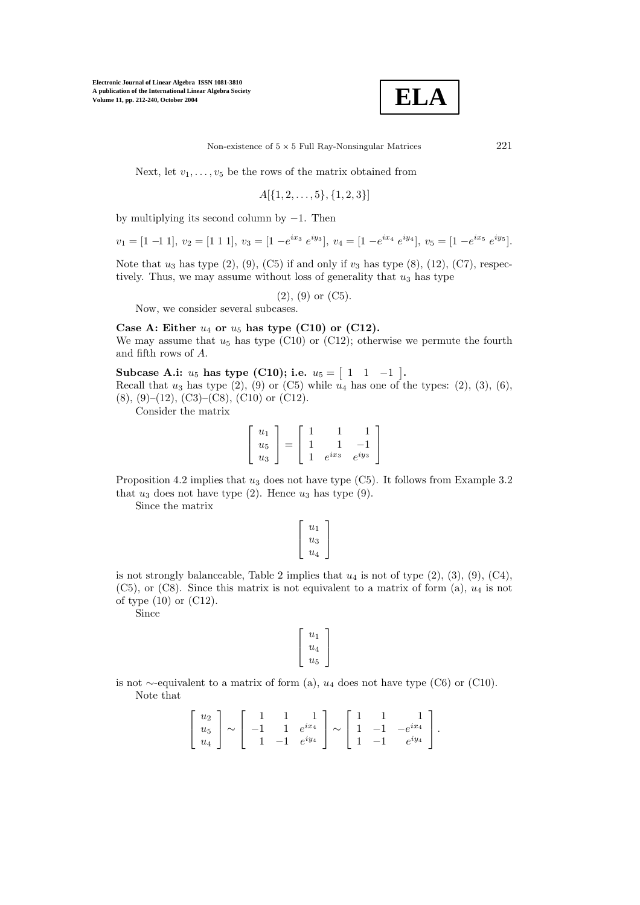

Non-existence of  $5 \times 5$  Full Ray-Nonsingular Matrices 221

Next, let  $v_1, \ldots, v_5$  be the rows of the matrix obtained from

$$
A[\{1,2,\ldots,5\},\{1,2,3\}]
$$

by multiplying its second column by  $-1$ . Then

$$
v_1 = [1 \ -1 \ 1], \ v_2 = [1 \ 1 \ 1], \ v_3 = [1 \ -e^{ix_3} \ e^{iy_3}], \ v_4 = [1 \ -e^{ix_4} \ e^{iy_4}], \ v_5 = [1 \ -e^{ix_5} \ e^{iy_5}].
$$

Note that  $u_3$  has type  $(2)$ ,  $(9)$ ,  $(C5)$  if and only if  $v_3$  has type  $(8)$ ,  $(12)$ ,  $(C7)$ , respectively. Thus, we may assume without loss of generality that  $u_3$  has type

 $(2), (9)$  or  $(C5)$ .

Now, we consider several subcases.

Case A: Either  $u_4$  or  $u_5$  has type (C10) or (C12). We may assume that  $u_5$  has type (C10) or (C12); otherwise we permute the fourth and fifth rows of A.

 $\textbf{Subcase A.i: } u_5 \text{ has type (C10); i.e. } u_5 = [1 \ 1 \ -1].$ 

Recall that  $u_3$  has type  $(2)$ ,  $(9)$  or  $(C5)$  while  $u_4$  has one of the types:  $(2)$ ,  $(3)$ ,  $(6)$ , (8), (9)–(12), (C3)–(C8), (C10) or (C12).

Consider the matrix

$$
\left[\begin{array}{c} u_1 \\ u_5 \\ u_3 \end{array}\right] = \left[\begin{array}{rrr} 1 & 1 & 1 \\ 1 & 1 & -1 \\ 1 & e^{ix_3} & e^{iy_3} \end{array}\right]
$$

Proposition 4.2 implies that  $u_3$  does not have type (C5). It follows from Example 3.2 that  $u_3$  does not have type (2). Hence  $u_3$  has type (9).

Since the matrix

$$
\left[\begin{array}{c}u_1\\u_3\\u_4\end{array}\right]
$$

is not strongly balanceable, Table 2 implies that  $u_4$  is not of type  $(2)$ ,  $(3)$ ,  $(9)$ ,  $(C4)$ ,  $(C5)$ , or  $(C8)$ . Since this matrix is not equivalent to a matrix of form (a),  $u_4$  is not of type (10) or (C12).

Since

$$
\left[\begin{array}{c}u_1\\u_4\\u_5\end{array}\right]
$$

is not ∼-equivalent to a matrix of form (a),  $u_4$  does not have type (C6) or (C10). Note that

$$
\begin{bmatrix} u_2 \\ u_5 \\ u_4 \end{bmatrix} \sim \begin{bmatrix} 1 & 1 & 1 \\ -1 & 1 & e^{ix_4} \\ 1 & -1 & e^{iy_4} \end{bmatrix} \sim \begin{bmatrix} 1 & 1 & 1 \\ 1 & -1 & -e^{ix_4} \\ 1 & -1 & e^{iy_4} \end{bmatrix}.
$$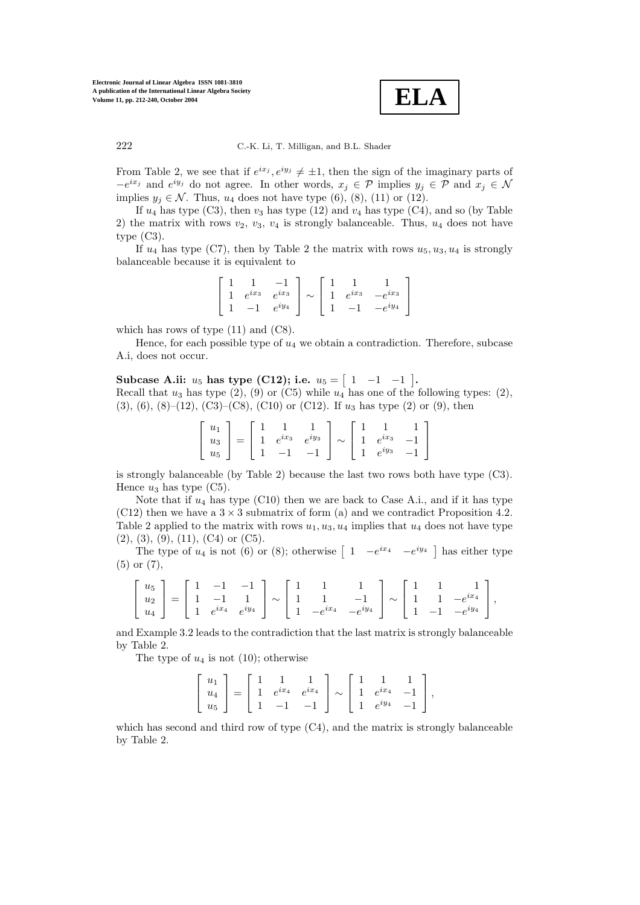

From Table 2, we see that if  $e^{ix_j}, e^{iy_j} \neq \pm 1$ , then the sign of the imaginary parts of  $-e^{ix_j}$  and  $e^{iy_j}$  do not agree. In other words,  $x_j \in \mathcal{P}$  implies  $y_j \in \mathcal{P}$  and  $x_j \in \mathcal{N}$ implies  $y_i \in \mathcal{N}$ . Thus,  $u_4$  does not have type (6), (8), (11) or (12).

If  $u_4$  has type (C3), then  $v_3$  has type (12) and  $v_4$  has type (C4), and so (by Table 2) the matrix with rows  $v_2$ ,  $v_3$ ,  $v_4$  is strongly balanceable. Thus,  $u_4$  does not have type  $(C3)$ .

If  $u_4$  has type (C7), then by Table 2 the matrix with rows  $u_5, u_3, u_4$  is strongly balanceable because it is equivalent to

$$
\begin{bmatrix} 1 & 1 & -1 \ 1 & e^{ix_3} & e^{ix_3} \ 1 & -1 & e^{iy_4} \end{bmatrix} \sim \begin{bmatrix} 1 & 1 & 1 \ 1 & e^{ix_3} & -e^{ix_3} \ 1 & -1 & -e^{iy_4} \end{bmatrix}
$$

which has rows of type  $(11)$  and  $(C8)$ .

Hence, for each possible type of  $u_4$  we obtain a contradiction. Therefore, subcase A.i, does not occur.

 $\textbf{Subcase A.ii:}~~u_5~\textbf{has type (C12); i.e.}~~u_5 = \left[\begin{array}{ccc} 1 & -1 & -1 \end{array}\right].$ Recall that  $u_3$  has type  $(2)$ ,  $(9)$  or  $(C5)$  while  $u_4$  has one of the following types:  $(2)$ ,  $(3), (6), (8)–(12), (C3)–(C8), (C10)$  or  $(C12)$ . If  $u_3$  has type  $(2)$  or  $(9)$ , then

$$
\begin{bmatrix} u_1 \\ u_3 \\ u_5 \end{bmatrix} = \begin{bmatrix} 1 & 1 & 1 \\ 1 & e^{ix_3} & e^{iy_3} \\ 1 & -1 & -1 \end{bmatrix} \sim \begin{bmatrix} 1 & 1 & 1 \\ 1 & e^{ix_3} & -1 \\ 1 & e^{iy_3} & -1 \end{bmatrix}
$$

is strongly balanceable (by Table 2) because the last two rows both have type (C3). Hence  $u_3$  has type (C5).

Note that if  $u_4$  has type (C10) then we are back to Case A.i., and if it has type  $(C12)$  then we have a  $3 \times 3$  submatrix of form (a) and we contradict Proposition 4.2. Table 2 applied to the matrix with rows  $u_1, u_3, u_4$  implies that  $u_4$  does not have type  $(2), (3), (9), (11), (C4)$  or  $(C5)$ .

The type of  $u_4$  is not (6) or (8); otherwise  $\begin{bmatrix} 1 & -e^{ix_4} & -e^{iy_4} \end{bmatrix}$  has either type (5) or (7),

$$
\begin{bmatrix} u_5 \\ u_2 \\ u_4 \end{bmatrix} = \begin{bmatrix} 1 & -1 & -1 \\ 1 & -1 & 1 \\ 1 & e^{ix_4} & e^{iy_4} \end{bmatrix} \sim \begin{bmatrix} 1 & 1 & 1 \\ 1 & 1 & -1 \\ 1 & -e^{ix_4} & -e^{iy_4} \end{bmatrix} \sim \begin{bmatrix} 1 & 1 & 1 \\ 1 & 1 & -e^{ix_4} \\ 1 & -1 & -e^{iy_4} \end{bmatrix},
$$

and Example 3.2 leads to the contradiction that the last matrix is strongly balanceable by Table 2.

The type of  $u_4$  is not (10); otherwise

$$
\begin{bmatrix} u_1 \\ u_4 \\ u_5 \end{bmatrix} = \begin{bmatrix} 1 & 1 & 1 \\ 1 & e^{ix_4} & e^{ix_4} \\ 1 & -1 & -1 \end{bmatrix} \sim \begin{bmatrix} 1 & 1 & 1 \\ 1 & e^{ix_4} & -1 \\ 1 & e^{iy_4} & -1 \end{bmatrix},
$$

which has second and third row of type (C4), and the matrix is strongly balanceable by Table 2.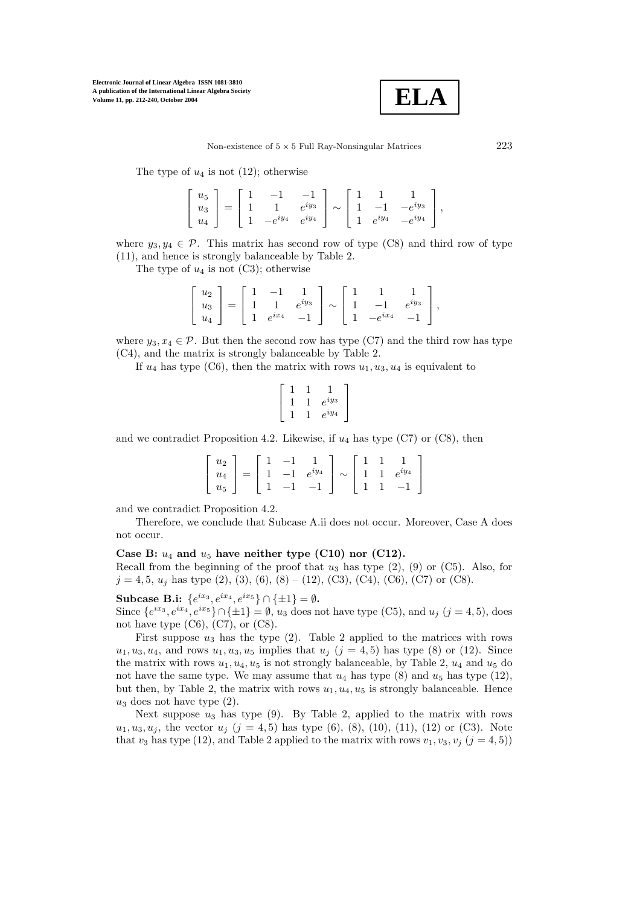

The type of  $u_4$  is not (12); otherwise

| $ u_5 $   |  | $-1$                    | $-1$ |  |                                                             |  |
|-----------|--|-------------------------|------|--|-------------------------------------------------------------|--|
| $u_3$   = |  |                         |      |  | 1 $e^{iy_3} \mid \sim \mid 1 \quad -1 \quad -e^{iy_3} \mid$ |  |
| $u_4$     |  | $1 - e^{iy_4} e^{iy_4}$ |      |  | $1 \t e^{iy_4} -e^{iy_4}$                                   |  |

where  $y_3, y_4 \in \mathcal{P}$ . This matrix has second row of type (C8) and third row of type (11), and hence is strongly balanceable by Table 2.

The type of  $u_4$  is not (C3); otherwise

|  |  |  |  | $\left[ \begin{array}{c} u_2 \\ u_3 \\ u_4 \end{array} \right] = \left[ \begin{array}{ccc} 1 & -1 & 1 \\ 1 & 1 & e^{i y_3} \\ 1 & e^{i x_4} & -1 \end{array} \right] \sim \left[ \begin{array}{ccc} 1 & 1 & 1 \\ 1 & -1 & e^{i y_3} \\ 1 & -e^{i x_4} & -1 \end{array} \right]$<br>$\begin{vmatrix} 1 & -e^{ix_4} & -1 \end{vmatrix}$ |  |
|--|--|--|--|---------------------------------------------------------------------------------------------------------------------------------------------------------------------------------------------------------------------------------------------------------------------------------------------------------------------------------------|--|

where  $y_3, x_4 \in \mathcal{P}$ . But then the second row has type (C7) and the third row has type (C4), and the matrix is strongly balanceable by Table 2.

If  $u_4$  has type (C6), then the matrix with rows  $u_1, u_3, u_4$  is equivalent to

$$
\left[\begin{array}{ccc} 1 & 1 & 1 \\ 1 & 1 & e^{iy_3} \\ 1 & 1 & e^{iy_4} \end{array}\right]
$$

and we contradict Proposition 4.2. Likewise, if  $u_4$  has type (C7) or (C8), then

|  |  | $\left[ \begin{array}{c} u_2 \\ u_4 \end{array} \right] = \left[ \begin{array}{rrr} 1 & -1 & 1 \\ 1 & -1 & e^{iy_4} \end{array} \right] \sim \left[ \begin{array}{rrr} 1 & 1 & 1 \\ 1 & 1 & e^{iy_4} \end{array} \right]$ |  |  |  |
|--|--|---------------------------------------------------------------------------------------------------------------------------------------------------------------------------------------------------------------------------|--|--|--|
|  |  |                                                                                                                                                                                                                           |  |  |  |
|  |  | $\begin{bmatrix} u_5 \end{bmatrix}$ $\begin{bmatrix} 1 & -1 & -1 \end{bmatrix}$ $\begin{bmatrix} 1 & 1 & -1 \end{bmatrix}$                                                                                                |  |  |  |

and we contradict Proposition 4.2.

Therefore, we conclude that Subcase A.ii does not occur. Moreover, Case A does not occur.

### **Case B:** u<sup>4</sup> **and** u<sup>5</sup> **have neither type (C10) nor (C12).**

Recall from the beginning of the proof that  $u_3$  has type  $(2)$ ,  $(9)$  or  $(C5)$ . Also, for  $j = 4, 5, u_j$  has type  $(2), (3), (6), (8) - (12), (C3), (C4), (C6), (C7)$  or  $(C8)$ .

**Subcase B.i:**  ${e^{ix_3}, e^{ix_4}, e^{ix_5}} ∩ \{±1\} = ∅$ .

Since  $\{e^{ix_3}, e^{ix_4}, e^{ix_5}\}\cap \{\pm 1\} = \emptyset$ ,  $u_3$  does not have type (C5), and  $u_j$  ( $j = 4, 5$ ), does not have type  $(C6)$ ,  $(C7)$ , or  $(C8)$ .

First suppose  $u_3$  has the type (2). Table 2 applied to the matrices with rows  $u_1, u_3, u_4$ , and rows  $u_1, u_3, u_5$  implies that  $u_j$  ( $j = 4, 5$ ) has type (8) or (12). Since the matrix with rows  $u_1, u_4, u_5$  is not strongly balanceable, by Table 2,  $u_4$  and  $u_5$  do not have the same type. We may assume that  $u_4$  has type (8) and  $u_5$  has type (12), but then, by Table 2, the matrix with rows  $u_1, u_4, u_5$  is strongly balanceable. Hence  $u_3$  does not have type  $(2)$ .

Next suppose  $u_3$  has type (9). By Table 2, applied to the matrix with rows  $u_1, u_3, u_j$ , the vector  $u_j$   $(j = 4, 5)$  has type  $(6)$ ,  $(8)$ ,  $(10)$ ,  $(11)$ ,  $(12)$  or  $(C3)$ . Note that  $v_3$  has type (12), and Table 2 applied to the matrix with rows  $v_1, v_3, v_j$  ( $j = 4, 5$ ))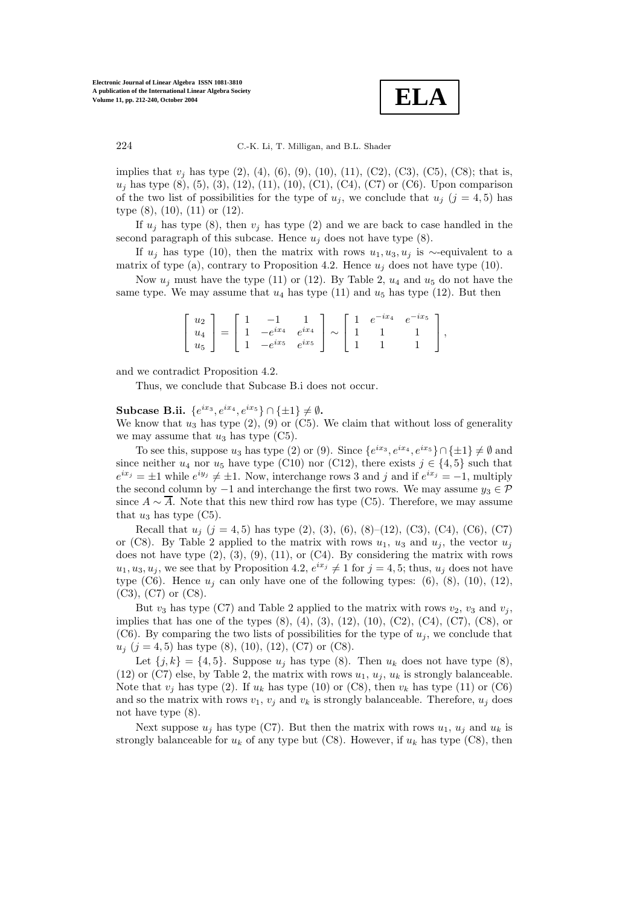

implies that  $v_j$  has type (2), (4), (6), (9), (10), (11), (C2), (C3), (C5), (C8); that is,  $u_j$  has type (8), (5), (3), (12), (11), (10), (C1), (C4), (C7) or (C6). Upon comparison of the two list of possibilities for the type of  $u_j$ , we conclude that  $u_j$  (j = 4,5) has type (8), (10), (11) or (12).

If  $u_i$  has type (8), then  $v_i$  has type (2) and we are back to case handled in the second paragraph of this subcase. Hence  $u_i$  does not have type  $(8)$ .

If  $u_i$  has type (10), then the matrix with rows  $u_1, u_3, u_i$  is ∼-equivalent to a matrix of type (a), contrary to Proposition 4.2. Hence  $u_j$  does not have type (10).

Now  $u_i$  must have the type (11) or (12). By Table 2,  $u_4$  and  $u_5$  do not have the same type. We may assume that  $u_4$  has type (11) and  $u_5$  has type (12). But then

| $u_2$ |  |                                                                          |  |  | $1 \t e^{-ix_4} \t e^{-ix_5}$ |  |
|-------|--|--------------------------------------------------------------------------|--|--|-------------------------------|--|
| $u_4$ |  | $\begin{array}{c c c c c c} 1 & -e^{ix_4} & e^{ix_4} & \sim \end{array}$ |  |  |                               |  |
| $u_5$ |  | $-e^{ix_5}$ $e^{ix_5}$                                                   |  |  |                               |  |

and we contradict Proposition 4.2.

Thus, we conclude that Subcase B.i does not occur.

**Subcase B.ii.**  ${e^{ix_3}, e^{ix_4}, e^{ix_5}} ∩ \{±1\} ≠ ∅$ .

We know that  $u_3$  has type  $(2)$ ,  $(9)$  or  $(C5)$ . We claim that without loss of generality we may assume that  $u_3$  has type  $(C5)$ .

To see this, suppose  $u_3$  has type (2) or (9). Since  $\{e^{ix_3}, e^{ix_4}, e^{ix_5}\} \cap \{\pm 1\} \neq \emptyset$  and since neither  $u_4$  nor  $u_5$  have type (C10) nor (C12), there exists  $j \in \{4, 5\}$  such that  $e^{ix_j} = \pm 1$  while  $e^{iy_j} \neq \pm 1$ . Now, interchange rows 3 and j and if  $e^{ix_j} = -1$ , multiply the second column by  $-1$  and interchange the first two rows. We may assume  $y_3 \in \mathcal{P}$ since  $A \sim \overline{A}$ . Note that this new third row has type (C5). Therefore, we may assume that  $u_3$  has type  $(C5)$ .

Recall that  $u_j$   $(j = 4, 5)$  has type  $(2), (3), (6), (8)$ – $(12), (C3), (C4), (C6), (C7)$ or (C8). By Table 2 applied to the matrix with rows  $u_1$ ,  $u_3$  and  $u_j$ , the vector  $u_j$ does not have type (2), (3), (9), (11), or (C4). By considering the matrix with rows  $u_1, u_3, u_j$ , we see that by Proposition 4.2,  $e^{ix_j} \neq 1$  for  $j = 4, 5$ ; thus,  $u_j$  does not have type  $(C6)$ . Hence  $u_i$  can only have one of the following types:  $(6)$ ,  $(8)$ ,  $(10)$ ,  $(12)$ , (C3), (C7) or (C8).

But  $v_3$  has type (C7) and Table 2 applied to the matrix with rows  $v_2$ ,  $v_3$  and  $v_j$ , implies that has one of the types  $(8)$ ,  $(4)$ ,  $(3)$ ,  $(12)$ ,  $(10)$ ,  $(C2)$ ,  $(C4)$ ,  $(C7)$ ,  $(C8)$ , or (C6). By comparing the two lists of possibilities for the type of  $u_j$ , we conclude that  $u_j$  (j = 4, 5) has type (8), (10), (12), (C7) or (C8).

Let  $\{j,k\} = \{4,5\}$ . Suppose  $u_j$  has type  $(8)$ . Then  $u_k$  does not have type  $(8)$ , (12) or (C7) else, by Table 2, the matrix with rows  $u_1, u_j, u_k$  is strongly balanceable. Note that  $v_j$  has type (2). If  $u_k$  has type (10) or (C8), then  $v_k$  has type (11) or (C6) and so the matrix with rows  $v_1$ ,  $v_j$  and  $v_k$  is strongly balanceable. Therefore,  $u_j$  does not have type (8).

Next suppose  $u_j$  has type (C7). But then the matrix with rows  $u_1, u_j$  and  $u_k$  is strongly balanceable for  $u_k$  of any type but (C8). However, if  $u_k$  has type (C8), then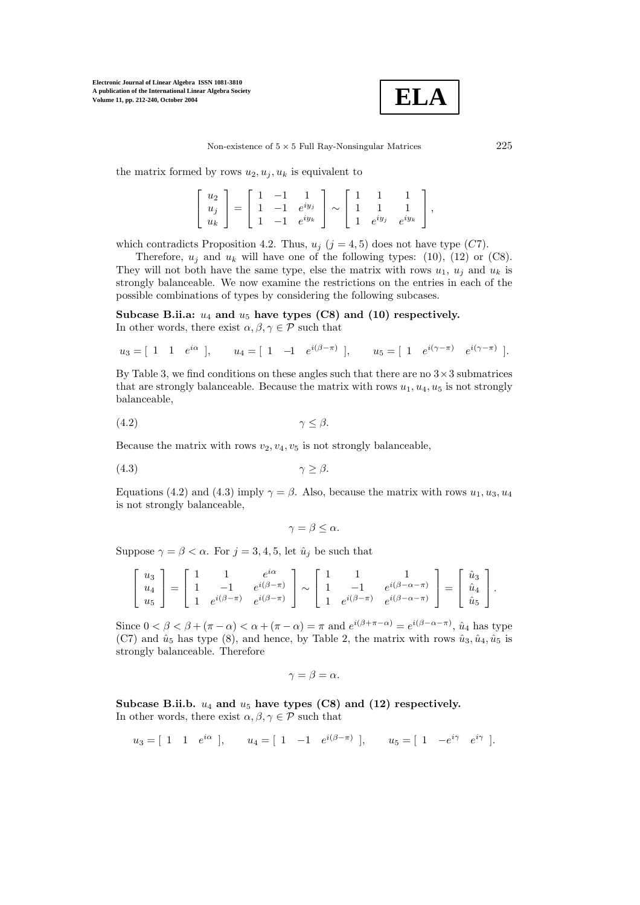

the matrix formed by rows  $u_2, u_i, u_k$  is equivalent to

| $\left[ \begin{array}{c} u_2 \\ u_j \\ u_k \end{array} \right] = \left[ \begin{array}{ccc} 1 & -1 & 1 \\ 1 & -1 & e^{i y_j} \\ 1 & -1 & e^{i y_k} \end{array} \right] \sim \left[ \begin{array}{ccc} 1 & 1 & 1 \\ 1 & 1 & 1 \\ 1 & e^{i y_j} & e^{i y_k} \end{array} \right]$ |  |  |  |  |  |
|-------------------------------------------------------------------------------------------------------------------------------------------------------------------------------------------------------------------------------------------------------------------------------|--|--|--|--|--|

which contradicts Proposition 4.2. Thus,  $u_j$  ( $j = 4, 5$ ) does not have type (C7).

Therefore,  $u_i$  and  $u_k$  will have one of the following types: (10), (12) or (C8). They will not both have the same type, else the matrix with rows  $u_1$ ,  $u_j$  and  $u_k$  is strongly balanceable. We now examine the restrictions on the entries in each of the possible combinations of types by considering the following subcases.

Subcase B.ii.a:  $u_4$  and  $u_5$  have types (C8) and (10) respectively. In other words, there exist  $\alpha, \beta, \gamma \in \mathcal{P}$  such that

$$
u_3 = [1 \ 1 \ e^{i\alpha}], \quad u_4 = [1 \ -1 \ e^{i(\beta - \pi)}], \quad u_5 = [1 \ e^{i(\gamma - \pi)} \ e^{i(\gamma - \pi)}].
$$

By Table 3, we find conditions on these angles such that there are no  $3 \times 3$  submatrices that are strongly balanceable. Because the matrix with rows  $u_1, u_4, u_5$  is not strongly balanceable,

$$
\gamma \leq \beta.
$$

Because the matrix with rows  $v_2, v_4, v_5$  is not strongly balanceable,

$$
\gamma \geq \beta.
$$

Equations (4.2) and (4.3) imply  $\gamma = \beta$ . Also, because the matrix with rows  $u_1, u_3, u_4$ is not strongly balanceable,

$$
\gamma = \beta \leq \alpha.
$$

Suppose  $\gamma = \beta < \alpha$ . For  $j = 3, 4, 5$ , let  $\hat{u}_j$  be such that

$$
\begin{bmatrix} u_3 \\ u_4 \\ u_5 \end{bmatrix} = \begin{bmatrix} 1 & 1 & e^{i\alpha} \\ 1 & -1 & e^{i(\beta - \pi)} \\ 1 & e^{i(\beta - \pi)} & e^{i(\beta - \pi)} \end{bmatrix} \sim \begin{bmatrix} 1 & 1 & 1 \\ 1 & -1 & e^{i(\beta - \alpha - \pi)} \\ 1 & e^{i(\beta - \pi)} & e^{i(\beta - \alpha - \pi)} \end{bmatrix} = \begin{bmatrix} \hat{u}_3 \\ \hat{u}_4 \\ \hat{u}_5 \end{bmatrix}.
$$

Since  $0 < \beta < \beta + (\pi - \alpha) < \alpha + (\pi - \alpha) = \pi$  and  $e^{i(\beta + \pi - \alpha)} = e^{i(\beta - \alpha - \pi)}$ ,  $\hat{u}_4$  has type (C7) and  $\hat{u}_5$  has type (8), and hence, by Table 2, the matrix with rows  $\hat{u}_3$ ,  $\hat{u}_4$ ,  $\hat{u}_5$  is strongly balanceable. Therefore

$$
\gamma = \beta = \alpha.
$$

Subcase B.ii.b.  $u_4$  and  $u_5$  have types (C8) and (12) respectively. In other words, there exist  $\alpha, \beta, \gamma \in \mathcal{P}$  such that

$$
u_3 = [1 \ 1 \ e^{i\alpha}], \quad u_4 = [1 \ -1 \ e^{i(\beta - \pi)}], \quad u_5 = [1 \ -e^{i\gamma} \ e^{i\gamma}].
$$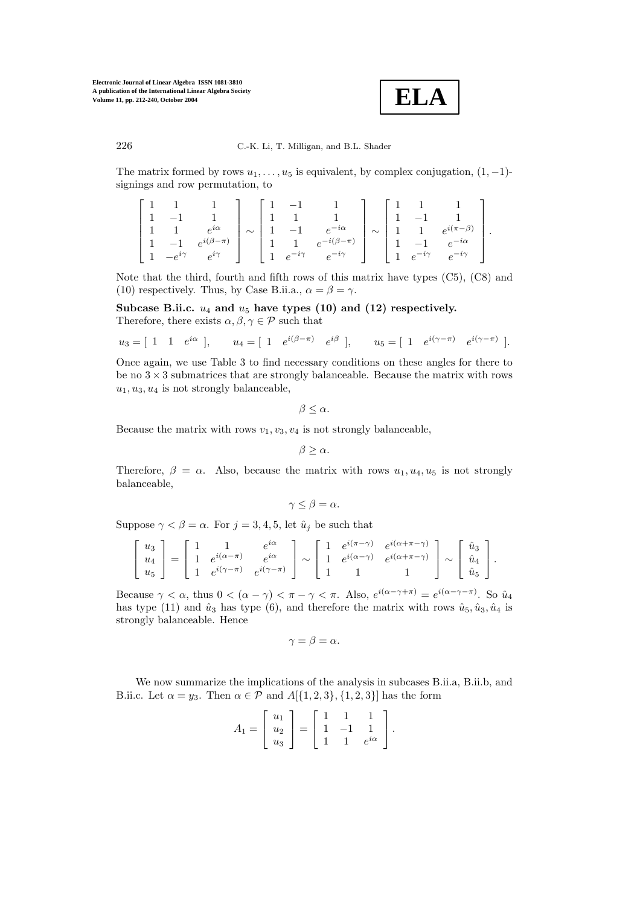

The matrix formed by rows  $u_1, \ldots, u_5$  is equivalent, by complex conjugation,  $(1, -1)$ signings and row permutation, to

$$
\begin{bmatrix} 1 & 1 & 1 & 1 \ 1 & -1 & 1 & 1 \ 1 & 1 & e^{i\alpha} & 1 \ -1 & e^{i(\beta - \pi)} & 1 & 1 \ 1 & -e^{i\gamma} & e^{i\gamma} \end{bmatrix} \sim \begin{bmatrix} 1 & -1 & 1 & 1 \ 1 & 1 & 1 & 1 \ 1 & -1 & e^{-i\alpha} & 1 \ 1 & 1 & e^{-i(\beta - \pi)} & 1 \ 1 & e^{-i\gamma} & e^{-i\gamma} & e^{-i\gamma} \end{bmatrix} \sim \begin{bmatrix} 1 & 1 & 1 \ 1 & -1 & 1 \ 1 & 1 & e^{i(\pi - \beta)} \\ 1 & 1 & e^{-i\alpha} & 1 \ 1 & e^{-i\gamma} & e^{-i\gamma} \end{bmatrix}.
$$

Note that the third, fourth and fifth rows of this matrix have types (C5), (C8) and (10) respectively. Thus, by Case B.ii.a.,  $\alpha = \beta = \gamma$ .

Subcase B.ii.c.  $u_4$  and  $u_5$  have types (10) and (12) respectively. Therefore, there exists  $\alpha, \beta, \gamma \in \mathcal{P}$  such that

$$
u_3 = [1 \ 1 \ e^{i\alpha}], \quad u_4 = [1 \ e^{i(\beta - \pi)} \ e^{i\beta}], \quad u_5 = [1 \ e^{i(\gamma - \pi)} \ e^{i(\gamma - \pi)}].
$$

Once again, we use Table 3 to find necessary conditions on these angles for there to be no  $3 \times 3$  submatrices that are strongly balanceable. Because the matrix with rows  $u_1, u_3, u_4$  is not strongly balanceable,

$$
\beta \leq \alpha.
$$

Because the matrix with rows  $v_1, v_3, v_4$  is not strongly balanceable,

$$
\beta \geq \alpha.
$$

Therefore,  $\beta = \alpha$ . Also, because the matrix with rows  $u_1, u_4, u_5$  is not strongly balanceable,

$$
\gamma \leq \beta = \alpha.
$$

Suppose  $\gamma < \beta = \alpha$ . For  $j = 3, 4, 5$ , let  $\hat{u}_j$  be such that

$$
\begin{bmatrix} u_3 \\ u_4 \\ u_5 \end{bmatrix} = \begin{bmatrix} 1 & 1 & e^{i\alpha} \\ 1 & e^{i(\alpha - \pi)} & e^{i\alpha} \\ 1 & e^{i(\gamma - \pi)} & e^{i(\gamma - \pi)} \end{bmatrix} \sim \begin{bmatrix} 1 & e^{i(\pi - \gamma)} & e^{i(\alpha + \pi - \gamma)} \\ 1 & e^{i(\alpha - \gamma)} & e^{i(\alpha + \pi - \gamma)} \\ 1 & 1 & 1 \end{bmatrix} \sim \begin{bmatrix} \hat{u}_3 \\ \hat{u}_4 \\ \hat{u}_5 \end{bmatrix}.
$$

Because  $\gamma < \alpha$ , thus  $0 < (\alpha - \gamma) < \pi - \gamma < \pi$ . Also,  $e^{i(\alpha - \gamma + \pi)} = e^{i(\alpha - \gamma - \pi)}$ . So  $\hat{u}_4$ has type (11) and  $\hat{u}_3$  has type (6), and therefore the matrix with rows  $\hat{u}_5, \hat{u}_3, \hat{u}_4$  is strongly balanceable. Hence

$$
\gamma = \beta = \alpha.
$$

We now summarize the implications of the analysis in subcases B.ii.a, B.ii.b, and B.ii.c. Let  $\alpha = y_3$ . Then  $\alpha \in \mathcal{P}$  and  $A[{1, 2, 3}, {1, 2, 3}]$  has the form

$$
A_1 = \left[ \begin{array}{c} u_1 \\ u_2 \\ u_3 \end{array} \right] = \left[ \begin{array}{rrr} 1 & 1 & 1 \\ 1 & -1 & 1 \\ 1 & 1 & e^{i\alpha} \end{array} \right].
$$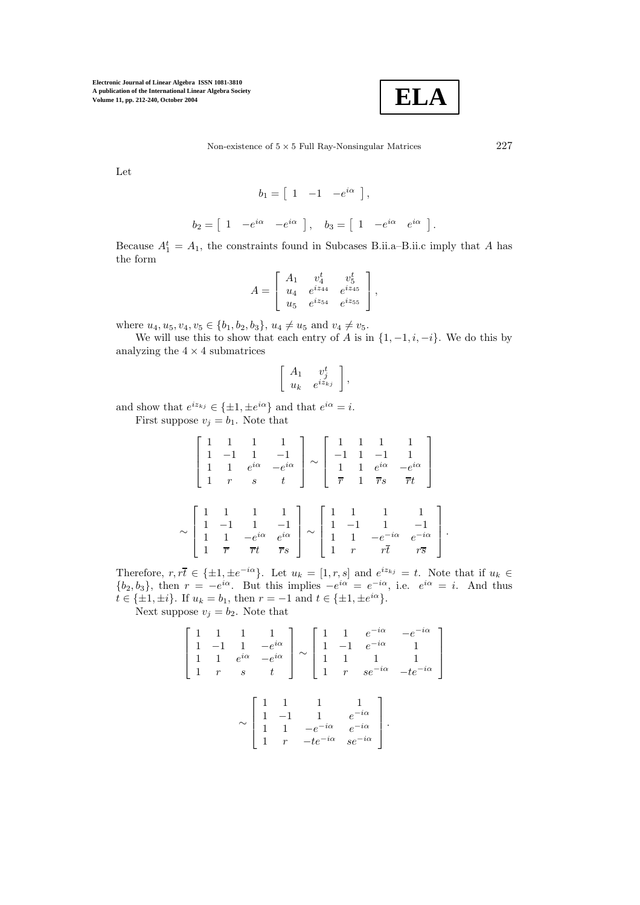

Let

$$
b_1 = \begin{bmatrix} 1 & -1 & -e^{i\alpha} \end{bmatrix},
$$
  

$$
b_2 = \begin{bmatrix} 1 & -e^{i\alpha} & -e^{i\alpha} \end{bmatrix}, \quad b_3 = \begin{bmatrix} 1 & -e^{i\alpha} & e^{i\alpha} \end{bmatrix}.
$$

Because  $A_1^t = A_1$ , the constraints found in Subcases B.ii.a–B.ii.c imply that A has the form

$$
A = \begin{bmatrix} A_1 & v_4^t & v_5^t \\ u_4 & e^{iz_{44}} & e^{iz_{45}} \\ u_5 & e^{iz_{54}} & e^{iz_{55}} \end{bmatrix},
$$

where  $u_4, u_5, v_4, v_5 \in \{b_1, b_2, b_3\}, u_4 \neq u_5 \text{ and } v_4 \neq v_5.$ 

We will use this to show that each entry of A is in  $\{1, -1, i, -i\}$ . We do this by analyzing the  $4\times 4$  submatrices

$$
\left[\begin{array}{cc} A_1 & v_j^t \\ u_k & e^{iz_{kj}} \end{array}\right],
$$

and show that  $e^{iz_{kj}} \in {\pm 1, \pm e^{i\alpha}}$  and that  $e^{i\alpha} = i$ .

First suppose  $v_j = b_1$ . Note that

$$
\begin{bmatrix} 1 & 1 & 1 & 1 \ 1 & -1 & 1 & -1 \ 1 & 1 & e^{i\alpha} & -e^{i\alpha} \ 1 & r & s & t \end{bmatrix} \sim \begin{bmatrix} 1 & 1 & 1 & 1 \ -1 & 1 & -1 & 1 \ \frac{1}{r} & 1 & \frac{1}{rs} & \frac{1}{rt} \end{bmatrix}
$$

$$
\sim \begin{bmatrix} 1 & 1 & 1 & 1 \ 1 & -1 & 1 & -1 \ 1 & 1 & -e^{i\alpha} & e^{i\alpha} \ 1 & \frac{1}{r} & \frac{1}{rt} & \frac{1}{rs} \end{bmatrix} \sim \begin{bmatrix} 1 & 1 & 1 & 1 \ 1 & -1 & 1 & -1 \ 1 & 1 & -e^{-i\alpha} & e^{-i\alpha} \ 1 & r & r\overline{t} & r\overline{s} \end{bmatrix}.
$$

Therefore,  $r, r\overline{t} \in {\pm 1, \pm e^{-i\alpha}}$ . Let  $u_k = [1, r, s]$  and  $e^{iz_{kj}} = t$ . Note that if  $u_k \in$  $\{b_2, b_3\}$ , then  $r = -e^{i\alpha}$ . But this implies  $-e^{i\alpha} = e^{-i\alpha}$ , i.e.  $e^{i\alpha} = i$ . And thus  $t \in {\pm 1, \pm i}$ . If  $u_k = b_1$ , then  $r = -1$  and  $t \in {\pm 1, \pm e^{i\alpha}}$ .

Next suppose  $v_j = b_2$ . Note that

$$
\begin{bmatrix} 1 & 1 & 1 & 1 \ 1 & -1 & 1 & -e^{i\alpha} \ 1 & 1 & e^{i\alpha} & -e^{i\alpha} \ 1 & r & s & t \end{bmatrix} \sim \begin{bmatrix} 1 & 1 & e^{-i\alpha} & -e^{-i\alpha} \ 1 & -1 & e^{-i\alpha} & 1 \ 1 & 1 & 1 & 1 \ 1 & r & s e^{-i\alpha} & -t e^{-i\alpha} \end{bmatrix}
$$

$$
\sim \begin{bmatrix} 1 & 1 & 1 & 1 \ 1 & -1 & 1 & e^{-i\alpha} \ 1 & 1 & -e^{-i\alpha} & e^{-i\alpha} \ 1 & r & -t e^{-i\alpha} & s e^{-i\alpha} \end{bmatrix}.
$$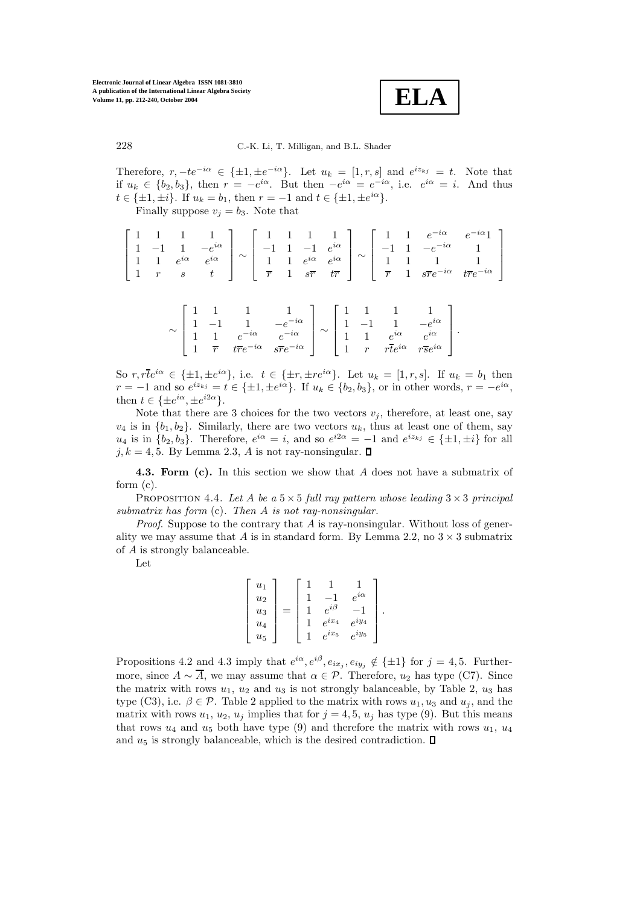

Therefore,  $r, -te^{-i\alpha} \in {\pm 1, \pm e^{-i\alpha}}$ . Let  $u_k = [1, r, s]$  and  $e^{iz_{kj}} = t$ . Note that if  $u_k \in \{b_2, b_3\}$ , then  $r = -e^{i\alpha}$ . But then  $-e^{i\alpha} = e^{-i\alpha}$ , i.e.  $e^{i\alpha} = i$ . And thus  $t \in \{\pm 1, \pm i\}$ . If  $u_k = b_1$ , then  $r = -1$  and  $t \in \{\pm 1, \pm e^{i\alpha}\}.$ 

Finally suppose  $v_j = b_3$ . Note that

|  |  |  |  |  |  |  | $\left[\begin{array}{rrrr} 1 & 1 & 1 & 1 \\ 1 & -1 & 1 & -e^{i\alpha} \\ 1 & 1 & e^{i\alpha} & e^{i\alpha} \end{array}\right] \sim \left[\begin{array}{rrrr} 1 & 1 & 1 & 1 \\ -1 & 1 & -1 & e^{i\alpha} \\ 1 & 1 & e^{i\alpha} & e^{i\alpha} \end{array}\right] \sim \left[\begin{array}{rrrr} 1 & 1 & e^{-i\alpha} & e^{-i\alpha}1 \\ -1 & 1 & -e^{-i\alpha} & 1 \\ 1 & 1 & 1 & 1 \end{array}\right]$ |
|--|--|--|--|--|--|--|--------------------------------------------------------------------------------------------------------------------------------------------------------------------------------------------------------------------------------------------------------------------------------------------------------------------------------------------------------------------------------------------------------|
|  |  |  |  |  |  |  | $\left[\begin{array}{ccccc}1 & r & s & t\end{array}\right] \left[\begin{array}{ccccc}\overline{r} & 1 & s\overline{r} & t\overline{r}\end{array}\right] \left[\begin{array}{ccccc}\overline{r} & 1 & s\overline{r}e^{-i\alpha} & t\overline{r}e^{-i\alpha}\end{array}\right]$                                                                                                                          |

| $\sim$ |                |                             |                             |  |   |      |                 |                            |  |
|--------|----------------|-----------------------------|-----------------------------|--|---|------|-----------------|----------------------------|--|
|        |                |                             |                             |  |   | $-1$ |                 |                            |  |
|        |                | $e^{-i\alpha}$              | $e^{-i\alpha}$              |  | м |      | $e^{i\alpha}$   | $\rho^{i\alpha}$           |  |
|        | $\overline{r}$ | $t\overline{r}e^{-i\alpha}$ | $s\overline{r}e^{-i\alpha}$ |  |   | r    | $rte^{i\alpha}$ | $r\overline{s}e^{i\alpha}$ |  |

So  $r, r\overline{t}e^{i\alpha} \in {\pm 1, \pm e^{i\alpha}}$ , i.e.  $t \in {\pm r, \pm re^{i\alpha}}$ . Let  $u_k = [1, r, s]$ . If  $u_k = b_1$  then  $r = -1$  and so  $e^{iz_{kj}} = t \in {\pm 1, \pm e^{i\alpha}}$ . If  $u_k \in {\{b_2, b_3\}}$ , or in other words,  $r = -e^{i\alpha}$ , then  $t \in \{\pm e^{i\alpha}, \pm e^{i2\alpha}\}.$ 

Note that there are 3 choices for the two vectors  $v_j$ , therefore, at least one, say  $v_4$  is in  $\{b_1, b_2\}$ . Similarly, there are two vectors  $u_k$ , thus at least one of them, say  $u_4$  is in  $\{b_2, b_3\}$ . Therefore,  $e^{i\alpha} = i$ , and so  $e^{i2\alpha} = -1$  and  $e^{iz_{kj}} \in \{\pm 1, \pm i\}$  for all  $j, k = 4, 5$ . By Lemma 2.3, A is not ray-nonsingular.  $\Box$ 

**4.3. Form (c).** In this section we show that A does not have a submatrix of form (c).

PROPOSITION 4.4. Let A be a  $5 \times 5$  full ray pattern whose leading  $3 \times 3$  principal *submatrix has form* (c)*. Then* A *is not ray-nonsingular.*

*Proof.* Suppose to the contrary that A is ray-nonsingular. Without loss of generality we may assume that A is in standard form. By Lemma 2.2, no  $3 \times 3$  submatrix of A is strongly balanceable.

Let

$$
\begin{bmatrix} u_1 \\ u_2 \\ u_3 \\ u_4 \\ u_5 \end{bmatrix} = \begin{bmatrix} 1 & 1 & 1 \\ 1 & -1 & e^{i\alpha} \\ 1 & e^{i\beta} & -1 \\ 1 & e^{ix_4} & e^{iy_4} \\ 1 & e^{ix_5} & e^{iy_5} \end{bmatrix}.
$$

Propositions 4.2 and 4.3 imply that  $e^{i\alpha}, e^{i\beta}, e_{ix_j}, e_{iy_j} \notin {\pm 1}$  for  $j = 4, 5$ . Furthermore, since  $A \sim \overline{A}$ , we may assume that  $\alpha \in \mathcal{P}$ . Therefore,  $u_2$  has type (C7). Since the matrix with rows  $u_1, u_2$  and  $u_3$  is not strongly balanceable, by Table 2,  $u_3$  has type (C3), i.e.  $\beta \in \mathcal{P}$ . Table 2 applied to the matrix with rows  $u_1, u_3$  and  $u_i$ , and the matrix with rows  $u_1, u_2, u_j$  implies that for  $j = 4, 5, u_j$  has type (9). But this means that rows  $u_4$  and  $u_5$  both have type (9) and therefore the matrix with rows  $u_1, u_4$ and  $u_5$  is strongly balanceable, which is the desired contradiction.  $\square$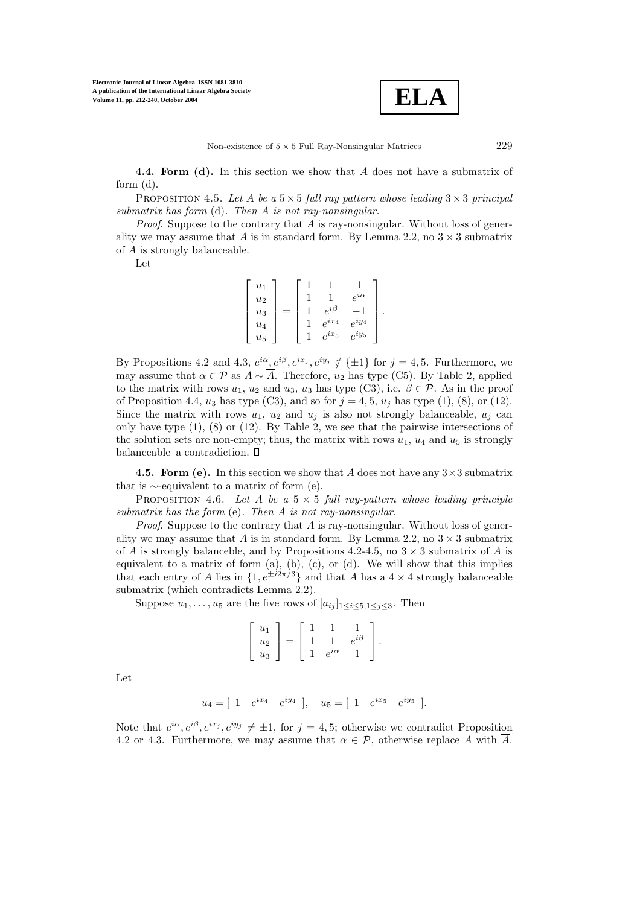

**4.4. Form (d).** In this section we show that A does not have a submatrix of form (d).

PROPOSITION 4.5. Let A be a  $5 \times 5$  full ray pattern whose leading  $3 \times 3$  principal *submatrix has form* (d)*. Then* A *is not ray-nonsingular.*

*Proof*. Suppose to the contrary that A is ray-nonsingular. Without loss of generality we may assume that A is in standard form. By Lemma 2.2, no  $3 \times 3$  submatrix of A is strongly balanceable.

Let

| $u_1$ |  |              |               |  |
|-------|--|--------------|---------------|--|
| $u_2$ |  |              | $e^{i\alpha}$ |  |
| $u_3$ |  | $e^{i\beta}$ |               |  |
| $u_4$ |  | $e^{ix_4}$   | $e^{iy_4}$    |  |
| $u_5$ |  | $e^{ix_5}$   | $e^{iy}$      |  |

By Propositions 4.2 and 4.3,  $e^{i\alpha}, e^{i\beta}, e^{ix_j}, e^{iy_j} \notin \{\pm 1\}$  for  $j = 4, 5$ . Furthermore, we may assume that  $\alpha \in \mathcal{P}$  as  $A \sim \overline{A}$ . Therefore,  $u_2$  has type (C5). By Table 2, applied to the matrix with rows  $u_1, u_2$  and  $u_3, u_3$  has type (C3), i.e.  $\beta \in \mathcal{P}$ . As in the proof of Proposition 4.4,  $u_3$  has type (C3), and so for  $j = 4, 5, u_j$  has type (1), (8), or (12). Since the matrix with rows  $u_1, u_2$  and  $u_j$  is also not strongly balanceable,  $u_j$  can only have type (1), (8) or (12). By Table 2, we see that the pairwise intersections of the solution sets are non-empty; thus, the matrix with rows  $u_1$ ,  $u_4$  and  $u_5$  is strongly balanceable–a contradiction.  $\Box$ 

**4.5. Form (e).** In this section we show that A does not have any  $3 \times 3$  submatrix that is ∼-equivalent to a matrix of form (e).

PROPOSITION 4.6. Let A be a  $5 \times 5$  full ray-pattern whose leading principle *submatrix has the form* (e)*. Then* A *is not ray-nonsingular.*

*Proof.* Suppose to the contrary that A is ray-nonsingular. Without loss of generality we may assume that A is in standard form. By Lemma 2.2, no  $3 \times 3$  submatrix of A is strongly balanceble, and by Propositions 4.2-4.5, no  $3 \times 3$  submatrix of A is equivalent to a matrix of form  $(a)$ ,  $(b)$ ,  $(c)$ , or  $(d)$ . We will show that this implies that each entry of A lies in  $\{1, e^{\pm i2\pi/3}\}\$  and that A has a  $4 \times 4$  strongly balanceable submatrix (which contradicts Lemma 2.2).

Suppose  $u_1, \ldots, u_5$  are the five rows of  $[a_{ij}]_{1 \le i \le 5, 1 \le j \le 3}$ . Then

$$
\left[\begin{array}{c} u_1 \\ u_2 \\ u_3 \end{array}\right] = \left[\begin{array}{rrr} 1 & 1 & 1 \\ 1 & 1 & e^{i\beta} \\ 1 & e^{i\alpha} & 1 \end{array}\right].
$$

Let

$$
u_4 = [ 1 \t e^{ix_4} \t e^{iy_4} ], \t u_5 = [ 1 \t e^{ix_5} \t e^{iy_5} ].
$$

Note that  $e^{i\alpha}, e^{i\beta}, e^{ix_j}, e^{iy_j} \neq \pm 1$ , for  $j = 4, 5$ ; otherwise we contradict Proposition 4.2 or 4.3. Furthermore, we may assume that  $\alpha \in \mathcal{P}$ , otherwise replace A with  $\overline{A}$ .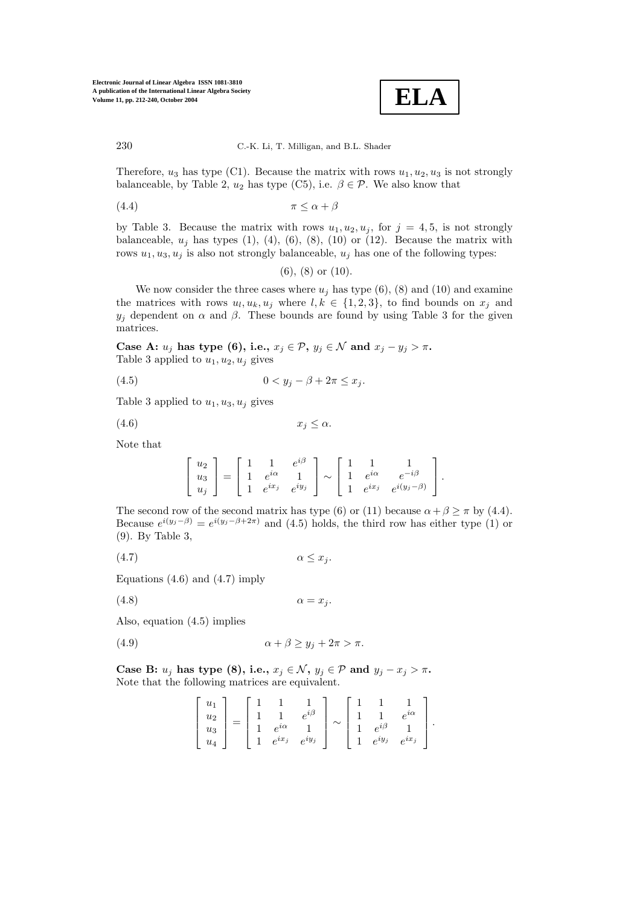

Therefore,  $u_3$  has type (C1). Because the matrix with rows  $u_1, u_2, u_3$  is not strongly balanceable, by Table 2,  $u_2$  has type (C5), i.e.  $\beta \in \mathcal{P}$ . We also know that

$$
\pi \le \alpha + \beta
$$

by Table 3. Because the matrix with rows  $u_1, u_2, u_j$ , for  $j = 4, 5$ , is not strongly balanceable,  $u_i$  has types (1), (4), (6), (8), (10) or (12). Because the matrix with rows  $u_1, u_3, u_j$  is also not strongly balanceable,  $u_j$  has one of the following types:

(6), (8) or (10).

We now consider the three cases where  $u_j$  has type (6), (8) and (10) and examine the matrices with rows  $u_l, u_k, u_j$  where  $l, k \in \{1, 2, 3\}$ , to find bounds on  $x_j$  and  $y_i$  dependent on  $\alpha$  and  $\beta$ . These bounds are found by using Table 3 for the given matrices.

**Case A:**  $u_j$  **has type (6), i.e.,**  $x_j \in \mathcal{P}$ ,  $y_j \in \mathcal{N}$  and  $x_j - y_j > \pi$ . Table 3 applied to  $u_1, u_2, u_j$  gives

$$
(4.5) \t\t 0 < y_j - \beta + 2\pi \le x_j.
$$

Table 3 applied to  $u_1, u_3, u_j$  gives

$$
(4.6) \t\t x_j \le \alpha.
$$

Note that

$$
\begin{bmatrix} u_2 \\ u_3 \\ u_j \end{bmatrix} = \begin{bmatrix} 1 & 1 & e^{i\beta} \\ 1 & e^{i\alpha} & 1 \\ 1 & e^{ix_j} & e^{iy_j} \end{bmatrix} \sim \begin{bmatrix} 1 & 1 & 1 \\ 1 & e^{i\alpha} & e^{-i\beta} \\ 1 & e^{ix_j} & e^{i(y_j-\beta)} \end{bmatrix}.
$$

The second row of the second matrix has type (6) or (11) because  $\alpha + \beta \geq \pi$  by (4.4). Because  $e^{i(y_j-\beta)} = e^{i(y_j-\beta+2\pi)}$  and (4.5) holds, the third row has either type (1) or (9). By Table 3,

(4.7) α ≤ x<sup>j</sup> .

Equations  $(4.6)$  and  $(4.7)$  imply

(4.8)  $\alpha = x_i$ .

Also, equation (4.5) implies

(4.9) α + β ≥ y<sup>j</sup> + 2π > π.

**Case B:**  $u_j$  has type (8), i.e.,  $x_j \in \mathcal{N}$ ,  $y_j \in \mathcal{P}$  and  $y_j - x_j > \pi$ . Note that the following matrices are equivalent.

$$
\begin{bmatrix} u_1 \\ u_2 \\ u_3 \\ u_4 \end{bmatrix} = \begin{bmatrix} 1 & 1 & 1 \\ 1 & 1 & e^{i\beta} \\ 1 & e^{i\alpha} & 1 \\ 1 & e^{ix_j} & e^{iy_j} \end{bmatrix} \sim \begin{bmatrix} 1 & 1 & 1 \\ 1 & 1 & e^{i\alpha} \\ 1 & e^{i\beta} & 1 \\ 1 & e^{iy_j} & e^{ix_j} \end{bmatrix}.
$$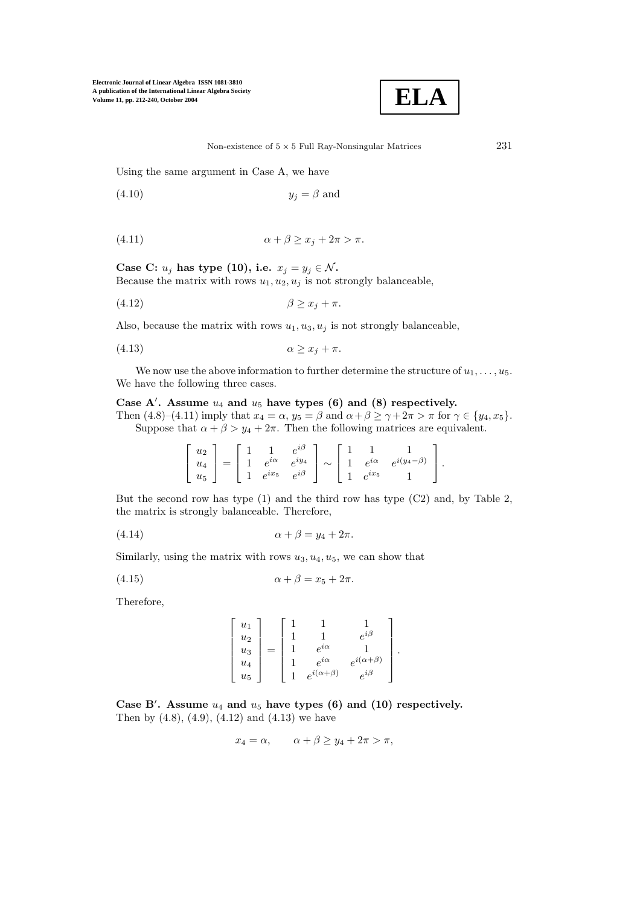

Using the same argument in Case A, we have

$$
(4.10) \t\t y_j = \beta \text{ and}
$$

$$
\alpha + \beta \ge x_j + 2\pi > \pi.
$$

**Case C:**  $u_j$  has type (10), i.e.  $x_j = y_j \in \mathcal{N}$ . Because the matrix with rows  $u_1, u_2, u_j$  is not strongly balanceable,

$$
\beta \ge x_j + \pi.
$$

Also, because the matrix with rows  $u_1, u_3, u_j$  is not strongly balanceable,

(4.13) α ≥ x<sup>j</sup> + π.

We now use the above information to further determine the structure of  $u_1, \ldots, u_5$ . We have the following three cases.

# Case  $A'$ . Assume  $u_4$  and  $u_5$  have types (6) and (8) respectively.

Then  $(4.8)-(4.11)$  imply that  $x_4 = \alpha$ ,  $y_5 = \beta$  and  $\alpha + \beta \ge \gamma + 2\pi > \pi$  for  $\gamma \in \{y_4, x_5\}$ . Suppose that  $\alpha + \beta > y_4 + 2\pi$ . Then the following matrices are equivalent.

| $ u_2 $ |  |  |                          |  |            |                                           |  |
|---------|--|--|--------------------------|--|------------|-------------------------------------------|--|
| $u_4$   |  |  | $1 e^{i\alpha} e^{iy_4}$ |  |            | $\sim$ 1 $e^{i\alpha}$ $e^{i(y_4-\beta)}$ |  |
| $ u_5 $ |  |  | $1 e^{ix_5} e^{i\beta}$  |  | $e^{ix_5}$ |                                           |  |

But the second row has type (1) and the third row has type (C2) and, by Table 2, the matrix is strongly balanceable. Therefore,

$$
\alpha + \beta = y_4 + 2\pi.
$$

Similarly, using the matrix with rows  $u_3, u_4, u_5$ , we can show that

$$
\alpha + \beta = x_5 + 2\pi.
$$

Therefore,

$$
\begin{bmatrix} u_1 \\ u_2 \\ u_3 \\ u_4 \\ u_5 \end{bmatrix} = \begin{bmatrix} 1 & 1 & 1 \\ 1 & 1 & e^{i\beta} \\ 1 & e^{i\alpha} & 1 \\ 1 & e^{i\alpha} & e^{i(\alpha+\beta)} \\ 1 & e^{i(\alpha+\beta)} & e^{i\beta} \end{bmatrix}.
$$

Case B<sup>'</sup>. Assume  $u_4$  and  $u_5$  have types (6) and (10) respectively. Then by  $(4.8)$ ,  $(4.9)$ ,  $(4.12)$  and  $(4.13)$  we have

$$
x_4 = \alpha, \qquad \alpha + \beta \ge y_4 + 2\pi > \pi,
$$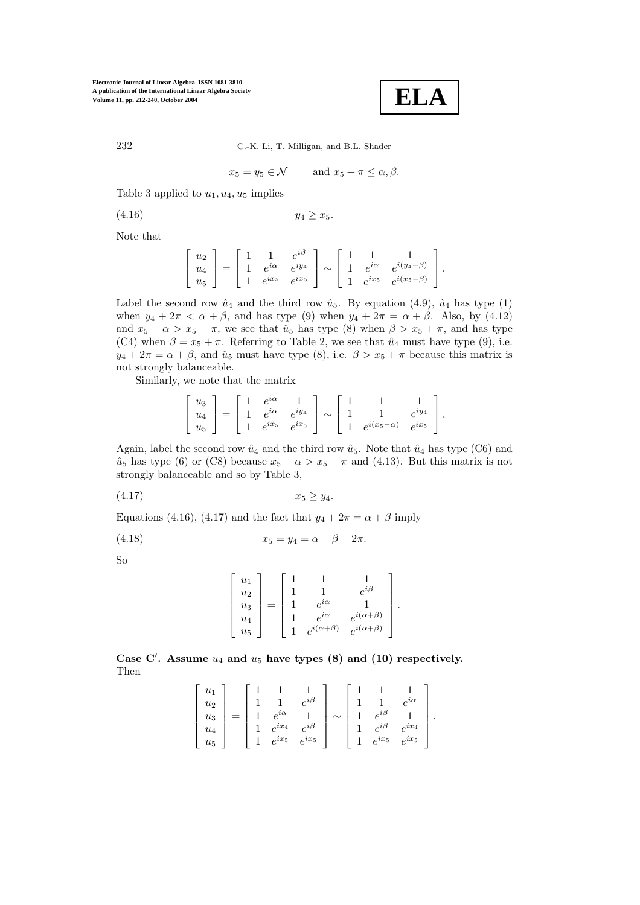$$
\mid
$$
 ELA $\mid$ 

232 C.-K. Li, T. Milligan, and B.L. Shader

$$
x_5 = y_5 \in \mathcal{N} \qquad \text{and } x_5 + \pi \le \alpha, \beta.
$$

Table 3 applied to  $u_1, u_4, u_5$  implies

$$
(4.16) \t\t y_4 \geq x_5.
$$

Note that

$$
\begin{bmatrix} u_2 \\ u_4 \\ u_5 \end{bmatrix} = \begin{bmatrix} 1 & 1 & e^{i\beta} \\ 1 & e^{i\alpha} & e^{iy_4} \\ 1 & e^{ix_5} & e^{ix_5} \end{bmatrix} \sim \begin{bmatrix} 1 & 1 & 1 \\ 1 & e^{i\alpha} & e^{i(y_4 - \beta)} \\ 1 & e^{ix_5} & e^{i(x_5 - \beta)} \end{bmatrix}.
$$

Label the second row  $\hat{u}_4$  and the third row  $\hat{u}_5$ . By equation (4.9),  $\hat{u}_4$  has type (1) when  $y_4 + 2\pi < \alpha + \beta$ , and has type (9) when  $y_4 + 2\pi = \alpha + \beta$ . Also, by (4.12) and  $x_5 - \alpha > x_5 - \pi$ , we see that  $\hat{u}_5$  has type (8) when  $\beta > x_5 + \pi$ , and has type (C4) when  $\beta = x_5 + \pi$ . Referring to Table 2, we see that  $\hat{u}_4$  must have type (9), i.e.  $y_4 + 2\pi = \alpha + \beta$ , and  $\hat{u}_5$  must have type (8), i.e.  $\beta > x_5 + \pi$  because this matrix is not strongly balanceable.

Similarly, we note that the matrix

$$
\begin{bmatrix} u_3 \\ u_4 \\ u_5 \end{bmatrix} = \begin{bmatrix} 1 & e^{i\alpha} & 1 \\ 1 & e^{i\alpha} & e^{iy_4} \\ 1 & e^{ix_5} & e^{ix_5} \end{bmatrix} \sim \begin{bmatrix} 1 & 1 & 1 \\ 1 & 1 & e^{iy_4} \\ 1 & e^{i(x_5-\alpha)} & e^{ix_5} \end{bmatrix}.
$$

Again, label the second row  $\hat{u}_4$  and the third row  $\hat{u}_5$ . Note that  $\hat{u}_4$  has type (C6) and  $\hat{u}_5$  has type (6) or (C8) because  $x_5 - \alpha > x_5 - \pi$  and (4.13). But this matrix is not strongly balanceable and so by Table 3,

$$
(4.17) \t\t x_5 \ge y_4.
$$

Equations (4.16), (4.17) and the fact that  $y_4 + 2\pi = \alpha + \beta$  imply

(4.18) 
$$
x_5 = y_4 = \alpha + \beta - 2\pi.
$$

So

$$
\begin{bmatrix} u_1 \\ u_2 \\ u_3 \\ u_4 \\ u_5 \end{bmatrix} = \begin{bmatrix} 1 & 1 & 1 \\ 1 & 1 & e^{i\beta} \\ 1 & e^{i\alpha} & 1 \\ 1 & e^{i\alpha} & e^{i(\alpha+\beta)} \\ 1 & e^{i(\alpha+\beta)} & e^{i(\alpha+\beta)} \end{bmatrix}.
$$

Case C'. Assume  $u_4$  and  $u_5$  have types  $(8)$  and  $(10)$  respectively. Then

$$
\begin{bmatrix} u_1 \\ u_2 \\ u_3 \\ u_4 \\ u_5 \end{bmatrix} = \begin{bmatrix} 1 & 1 & 1 \\ 1 & 1 & e^{i\beta} \\ 1 & e^{i\alpha} & 1 \\ 1 & e^{ix_4} & e^{i\beta} \\ 1 & e^{ix_5} & e^{ix_5} \end{bmatrix} \sim \begin{bmatrix} 1 & 1 & 1 \\ 1 & 1 & e^{i\alpha} \\ 1 & e^{i\beta} & 1 \\ 1 & e^{i\beta} & e^{ix_4} \\ 1 & e^{ix_5} & e^{ix_5} \end{bmatrix}.
$$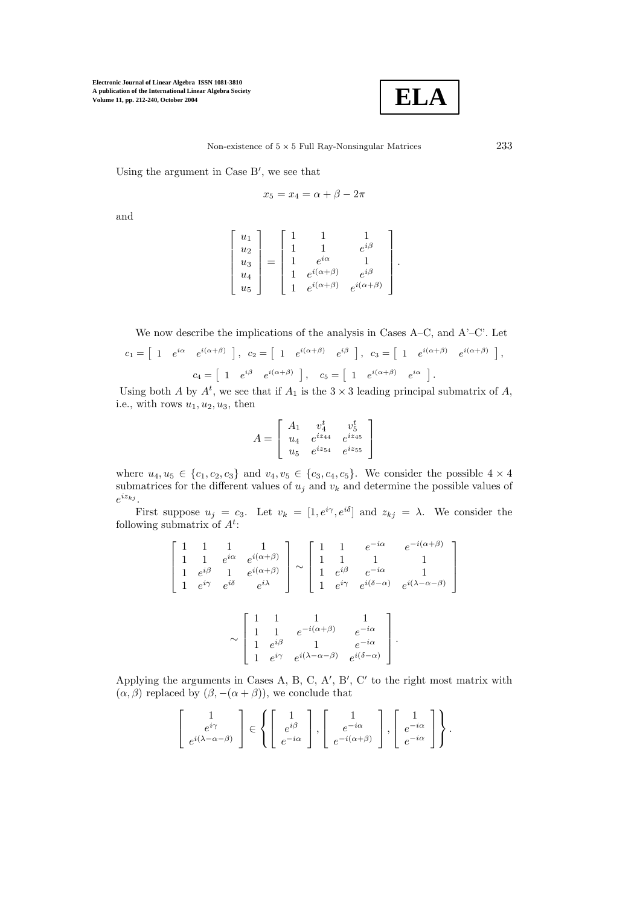

Using the argument in Case B , we see that

$$
x_5 = x_4 = \alpha + \beta - 2\pi
$$

and

$$
\begin{bmatrix} u_1 \\ u_2 \\ u_3 \\ u_4 \\ u_5 \end{bmatrix} = \begin{bmatrix} 1 & 1 & 1 \\ 1 & 1 & e^{i\beta} \\ 1 & e^{i\alpha} & 1 \\ 1 & e^{i(\alpha+\beta)} & e^{i\beta} \\ 1 & e^{i(\alpha+\beta)} & e^{i(\alpha+\beta)} \end{bmatrix}.
$$

We now describe the implications of the analysis in Cases A–C, and A'–C'. Let

$$
c_1 = \begin{bmatrix} 1 & e^{i\alpha} & e^{i(\alpha+\beta)} \end{bmatrix}, c_2 = \begin{bmatrix} 1 & e^{i(\alpha+\beta)} & e^{i\beta} \end{bmatrix}, c_3 = \begin{bmatrix} 1 & e^{i(\alpha+\beta)} & e^{i(\alpha+\beta)} \end{bmatrix},
$$
  

$$
c_4 = \begin{bmatrix} 1 & e^{i\beta} & e^{i(\alpha+\beta)} \end{bmatrix}, c_5 = \begin{bmatrix} 1 & e^{i(\alpha+\beta)} & e^{i\alpha} \end{bmatrix}.
$$

Using both A by  $A^t$ , we see that if  $A_1$  is the  $3 \times 3$  leading principal submatrix of A, i.e., with rows  $u_1, u_2, u_3$ , then

$$
A = \begin{bmatrix} A_1 & v_4^t & v_5^t \\ u_4 & e^{iz_{44}} & e^{iz_{45}} \\ u_5 & e^{iz_{54}} & e^{iz_{55}} \end{bmatrix}
$$

where  $u_4, u_5 \in \{c_1, c_2, c_3\}$  and  $v_4, v_5 \in \{c_3, c_4, c_5\}$ . We consider the possible  $4 \times 4$ submatrices for the different values of  $u_j$  and  $v_k$  and determine the possible values of  $e^{iz_{kj}}$  .

First suppose  $u_j = c_3$ . Let  $v_k = [1, e^{i\gamma}, e^{i\delta}]$  and  $z_{kj} = \lambda$ . We consider the following submatrix of  $A^t$ :

$$
\begin{bmatrix} 1 & 1 & 1 & 1 \ 1 & 1 & e^{i\alpha} & e^{i(\alpha+\beta)} \ 1 & e^{i\beta} & 1 & e^{i(\alpha+\beta)} \ 1 & e^{i\gamma} & e^{i\delta} & e^{i\lambda} \end{bmatrix} \sim \begin{bmatrix} 1 & 1 & e^{-i\alpha} & e^{-i(\alpha+\beta)} \ 1 & 1 & 1 & 1 \ 1 & e^{i\beta} & e^{-i\alpha} & 1 \ 1 & e^{i\gamma} & e^{i(\delta-\alpha)} & e^{i(\lambda-\alpha-\beta)} \end{bmatrix}
$$

$$
\sim \begin{bmatrix} 1 & 1 & 1 & 1 \ 1 & 1 & e^{-i(\alpha+\beta)} & e^{-i\alpha} \ 1 & e^{i\beta} & 1 & e^{-i\alpha} \ 1 & e^{i\gamma} & e^{i(\lambda-\alpha-\beta)} & e^{i(\delta-\alpha)} \end{bmatrix}.
$$

Applying the arguments in Cases A, B, C, A', B', C' to the right most matrix with  $(\alpha, \beta)$  replaced by  $(\beta, -(\alpha + \beta))$ , we conclude that

$$
\begin{bmatrix} 1 \ e^{i\gamma} \ e^{i(\lambda-\alpha-\beta)} \end{bmatrix} \in \left\{ \begin{bmatrix} 1 \ e^{i\beta} \ e^{-i\alpha} \end{bmatrix}, \begin{bmatrix} 1 \ e^{-i\alpha} \ e^{-i(\alpha+\beta)} \end{bmatrix}, \begin{bmatrix} 1 \ e^{-i\alpha} \ e^{-i\alpha} \end{bmatrix} \right\}.
$$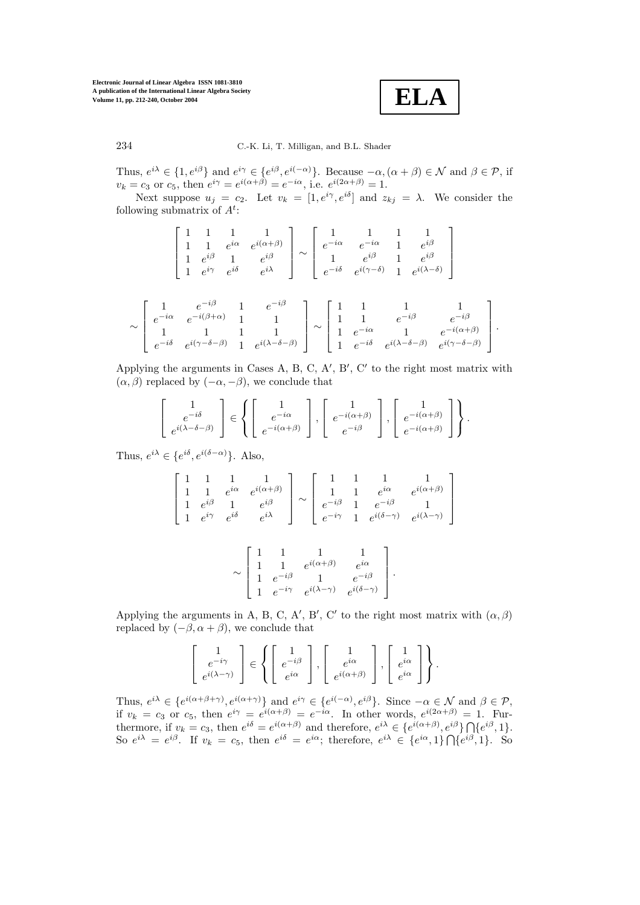**ELA**

234 C.-K. Li, T. Milligan, and B.L. Shader

Thus,  $e^{i\lambda} \in \{1, e^{i\beta}\}\$ and  $e^{i\gamma} \in \{e^{i\beta}, e^{i(-\alpha)}\}\$ . Because  $-\alpha, (\alpha + \beta) \in \mathcal{N}$  and  $\beta \in \mathcal{P}$ , if  $v_k = c_3$  or  $c_5$ , then  $e^{i\gamma} = e^{i(\alpha+\beta)} = e^{-i\alpha}$ , i.e.  $e^{i(2\alpha+\beta)} = 1$ .

Next suppose  $u_j = c_2$ . Let  $v_k = [1, e^{i\gamma}, e^{i\delta}]$  and  $z_{kj} = \lambda$ . We consider the following submatrix of  $A^t$ :

$$
\sim \begin{bmatrix} 1 & 1 & 1 & 1 \\ 1 & 1 & e^{i\alpha} & e^{i(\alpha+\beta)} \\ 1 & e^{i\beta} & 1 & e^{i\beta} \\ 1 & e^{i\gamma} & e^{i\delta} & e^{i\lambda} \end{bmatrix} \sim \begin{bmatrix} 1 & 1 & 1 & 1 \\ e^{-i\alpha} & e^{-i\alpha} & 1 & e^{i\beta} \\ 1 & e^{i\beta} & 1 & e^{i\beta} \\ e^{-i\delta} & e^{i(\gamma-\delta)} & 1 & e^{i(\lambda-\delta)} \end{bmatrix}
$$

$$
\sim \begin{bmatrix} 1 & e^{-i\beta} & 1 & e^{-i\beta} \\ e^{-i\alpha} & e^{-i(\beta+\alpha)} & 1 & 1 \\ 1 & 1 & 1 & 1 \\ e^{-i\delta} & e^{i(\gamma-\delta-\beta)} & 1 & e^{i(\lambda-\delta-\beta)} \end{bmatrix} \sim \begin{bmatrix} 1 & 1 & 1 & 1 \\ 1 & 1 & e^{-i\alpha} & e^{-i\beta} \\ 1 & e^{-i\alpha} & 1 & e^{-i(\alpha+\beta)} \\ 1 & e^{-i\delta} & e^{i(\lambda-\delta-\beta)} & e^{i(\gamma-\delta-\beta)} \end{bmatrix}.
$$

Applying the arguments in Cases A, B, C, A', B', C' to the right most matrix with  $(\alpha, \beta)$  replaced by  $(-\alpha, -\beta)$ , we conclude that

$$
\begin{bmatrix} 1 \ e^{-i\delta} \ e^{i(\lambda-\delta-\beta)} \end{bmatrix} \in \left\{ \begin{bmatrix} 1 \ e^{-i\alpha} \ e^{-i(\alpha+\beta)} \end{bmatrix}, \begin{bmatrix} 1 \ e^{-i(\alpha+\beta)} \ e^{-i\beta} \end{bmatrix}, \begin{bmatrix} 1 \ e^{-i(\alpha+\beta)} \ e^{-i(\alpha+\beta)} \end{bmatrix} \right\}.
$$

Thus,  $e^{i\lambda} \in \{e^{i\delta}, e^{i(\delta-\alpha)}\}\.$  Also,

$$
\begin{bmatrix} 1 & 1 & 1 & 1 \ 1 & 1 & e^{i\alpha} & e^{i(\alpha+\beta)} \ 1 & e^{i\beta} & 1 & e^{i\beta} \ 1 & e^{i\gamma} & e^{i\delta} & e^{i\lambda} \end{bmatrix} \sim \begin{bmatrix} 1 & 1 & 1 & 1 \ 1 & 1 & e^{i\alpha} & e^{i(\alpha+\beta)} \ e^{-i\beta} & 1 & e^{-i\beta} & 1 \ e^{-i\gamma} & 1 & e^{i(\delta-\gamma)} & e^{i(\lambda-\gamma)} \end{bmatrix}
$$

$$
\sim \left[\begin{array}{cccc} 1 & 1 & 1 & 1 \\ 1 & 1 & e^{i(\alpha+\beta)} & e^{i\alpha} \\ 1 & e^{-i\beta} & 1 & e^{-i\beta} \\ 1 & e^{-i\gamma} & e^{i(\lambda-\gamma)} & e^{i(\delta-\gamma)} \end{array}\right].
$$

Applying the arguments in A, B, C, A', B', C' to the right most matrix with  $(\alpha, \beta)$ replaced by  $(-\beta, \alpha + \beta)$ , we conclude that

$$
\begin{bmatrix} 1 \ e^{-i\gamma} \ e^{i(\lambda-\gamma)} \end{bmatrix} \in \left\{ \begin{bmatrix} 1 \ e^{-i\beta} \ e^{i\alpha} \end{bmatrix}, \begin{bmatrix} 1 \ e^{i\alpha} \ e^{i(\alpha+\beta)} \end{bmatrix}, \begin{bmatrix} 1 \ e^{i\alpha} \ e^{i\alpha} \end{bmatrix} \right\}.
$$

Thus,  $e^{i\lambda} \in \{e^{i(\alpha+\beta+\gamma)}, e^{i(\alpha+\gamma)}\}$  and  $e^{i\gamma} \in \{e^{i(-\alpha)}, e^{i\beta}\}\$ . Since  $-\alpha \in \mathcal{N}$  and  $\beta \in \mathcal{P}$ , if  $v_k = c_3$  or  $c_5$ , then  $e^{i\gamma} = e^{i(\alpha+\beta)} = e^{-i\alpha}$ . In other words,  $e^{i(2\alpha+\beta)} = 1$ . Furthermore, if  $v_k = c_3$ , then  $e^{i\delta} = e^{i(\alpha+\beta)}$  and therefore,  $e^{i\lambda} \in \{e^{i(\alpha+\beta)}, e^{i\beta}\} \cap \{e^{i\beta}, 1\}.$ So  $e^{i\lambda} = e^{i\beta}$ . If  $v_k = c_5$ , then  $e^{i\delta} = e^{i\alpha}$ ; therefore,  $e^{i\lambda} \in \{e^{i\alpha}, 1\} \cap \{e^{i\beta}, 1\}$ . So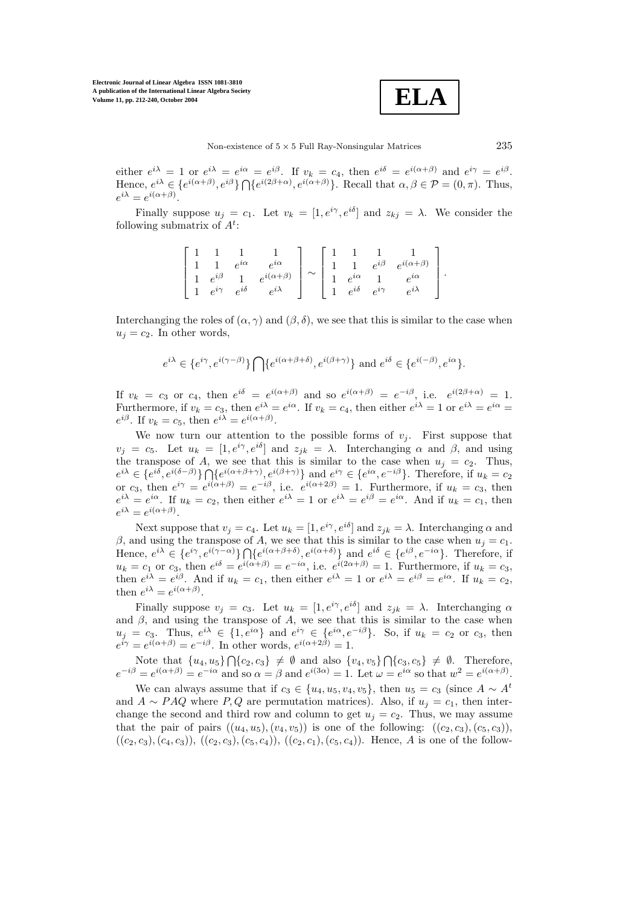**ELA**

either  $e^{i\lambda} = 1$  or  $e^{i\lambda} = e^{i\alpha} = e^{i\beta}$ . If  $v_k = c_4$ , then  $e^{i\delta} = e^{i(\alpha+\beta)}$  and  $e^{i\gamma} = e^{i\beta}$ . Hence,  $e^{i\lambda} \in \{e^{i(\alpha+\beta)}, e^{i\beta}\} \cap \{e^{i(2\beta+\alpha)}, e^{i(\alpha+\beta)}\}\.$  Recall that  $\alpha, \beta \in \mathcal{P} = (0, \pi)$ . Thus,  $e^{i\lambda} = e^{i(\alpha+\beta)}$ .

Finally suppose  $u_i = c_1$ . Let  $v_k = [1, e^{i\gamma}, e^{i\delta}]$  and  $z_{ki} = \lambda$ . We consider the following submatrix of  $A^t$ :

$$
\begin{bmatrix} 1 & 1 & 1 & 1 \ 1 & 1 & e^{i\alpha} & e^{i\alpha} \ 1 & e^{i\beta} & 1 & e^{i(\alpha+\beta)} \ 1 & e^{i\gamma} & e^{i\delta} & e^{i\lambda} \end{bmatrix} \sim \begin{bmatrix} 1 & 1 & 1 & 1 \ 1 & 1 & e^{i\beta} & e^{i(\alpha+\beta)} \ 1 & e^{i\alpha} & 1 & e^{i\alpha} \ 1 & e^{i\delta} & e^{i\gamma} & e^{i\lambda} \end{bmatrix}.
$$

Interchanging the roles of  $(\alpha, \gamma)$  and  $(\beta, \delta)$ , we see that this is similar to the case when  $u_i = c_2$ . In other words,

$$
e^{i\lambda} \in \{e^{i\gamma}, e^{i(\gamma-\beta)}\} \bigcap \{e^{i(\alpha+\beta+\delta)}, e^{i(\beta+\gamma)}\} \text{ and } e^{i\delta} \in \{e^{i(-\beta)}, e^{i\alpha}\}.
$$

If  $v_k = c_3$  or  $c_4$ , then  $e^{i\delta} = e^{i(\alpha+\beta)}$  and so  $e^{i(\alpha+\beta)} = e^{-i\beta}$ , i.e.  $e^{i(2\beta+\alpha)} = 1$ . Furthermore, if  $v_k = c_3$ , then  $e^{i\lambda} = e^{i\alpha}$ . If  $v_k = c_4$ , then either  $e^{i\lambda} = 1$  or  $e^{i\lambda} = e^{i\alpha} =$  $e^{i\beta}$ . If  $v_k = c_5$ , then  $e^{i\lambda} = e^{i(\alpha+\beta)}$ .

We now turn our attention to the possible forms of  $v_j$ . First suppose that  $v_i = c_5$ . Let  $u_k = [1, e^{i\gamma}, e^{i\delta}]$  and  $z_{ik} = \lambda$ . Interchanging  $\alpha$  and  $\beta$ , and using the transpose of A, we see that this is similar to the case when  $u_j = c_2$ . Thus,  $e^{i\lambda} \in \{e^{i\delta}, e^{i(\delta-\beta)}\} \bigcap \{e^{i(\alpha+\beta+\gamma)}, e^{i(\beta+\gamma)}\}\$ and  $e^{i\gamma} \in \{e^{i\alpha}, e^{-i\beta}\}\$ . Therefore, if  $u_k = c_2$ or  $c_3$ , then  $e^{i\gamma} = e^{i(\alpha+\beta)} = e^{-i\beta}$ , i.e.  $e^{i(\alpha+2\beta)} = 1$ . Furthermore, if  $u_k = c_3$ , then  $e^{i\lambda} = e^{i\alpha}$ . If  $u_k = c_2$ , then either  $e^{i\lambda} = 1$  or  $e^{i\lambda} = e^{i\beta} = e^{i\alpha}$ . And if  $u_k = c_1$ , then  $e^{i\lambda} = e^{i(\alpha+\beta)}$ .

Next suppose that  $v_i = c_4$ . Let  $u_k = [1, e^{i\gamma}, e^{i\delta}]$  and  $z_{ik} = \lambda$ . Interchanging  $\alpha$  and β, and using the transpose of A, we see that this is similar to the case when  $u<sub>i</sub> = c<sub>1</sub>$ . Hence,  $e^{i\lambda} \in \{e^{i\gamma}, e^{i(\gamma-\alpha)}\} \bigcap \{e^{i(\alpha+\beta+\delta)}, e^{i(\alpha+\delta)}\}$  and  $e^{i\delta} \in \{e^{i\beta}, e^{-i\alpha}\}$ . Therefore, if  $u_k = c_1$  or  $c_3$ , then  $e^{i\delta} = e^{i(\alpha+\beta)} = e^{-i\alpha}$ , i.e.  $e^{i(2\alpha+\beta)} = 1$ . Furthermore, if  $u_k = c_3$ , then  $e^{i\lambda} = e^{i\beta}$ . And if  $u_k = c_1$ , then either  $e^{i\lambda} = 1$  or  $e^{i\lambda} = e^{i\beta} = e^{i\alpha}$ . If  $u_k = c_2$ , then  $e^{i\lambda} = e^{i(\alpha+\beta)}$ .

Finally suppose  $v_j = c_3$ . Let  $u_k = [1, e^{i\gamma}, e^{i\delta}]$  and  $z_{jk} = \lambda$ . Interchanging  $\alpha$ and  $\beta$ , and using the transpose of A, we see that this is similar to the case when  $u_j = c_3$ . Thus,  $e^{i\lambda} \in \{1, e^{i\alpha}\}\$ and  $e^{i\gamma} \in \{e^{i\alpha}, e^{-i\beta}\}\$ . So, if  $u_k = c_2$  or  $c_3$ , then  $e^{i\gamma} = e^{i(\alpha+\beta)} = e^{-i\beta}$ . In other words,  $e^{i(\alpha+2\beta)} = 1$ .

Note that  $\{u_4, u_5\} \cap \{c_2, c_3\} \neq \emptyset$  and also  $\{v_4, v_5\} \cap \{c_3, c_5\} \neq \emptyset$ . Therefore,  $e^{-i\beta} = e^{i(\alpha+\beta)} = e^{-i\alpha}$  and so  $\alpha = \beta$  and  $e^{i(3\alpha)} = 1$ . Let  $\omega = e^{i\alpha}$  so that  $w^2 = e^{i(\alpha+\beta)}$ .

We can always assume that if  $c_3 \in \{u_4, u_5, v_4, v_5\}$ , then  $u_5 = c_3$  (since  $A \sim A^t$ ) and  $A \sim PAQ$  where P, Q are permutation matrices). Also, if  $u_i = c_1$ , then interchange the second and third row and column to get  $u_j = c_2$ . Thus, we may assume that the pair of pairs  $((u_4, u_5), (v_4, v_5))$  is one of the following:  $((c_2, c_3), (c_5, c_3))$ ,  $((c_2, c_3), (c_4, c_3)), ((c_2, c_3), (c_5, c_4)), ((c_2, c_1), (c_5, c_4)).$  Hence, A is one of the follow-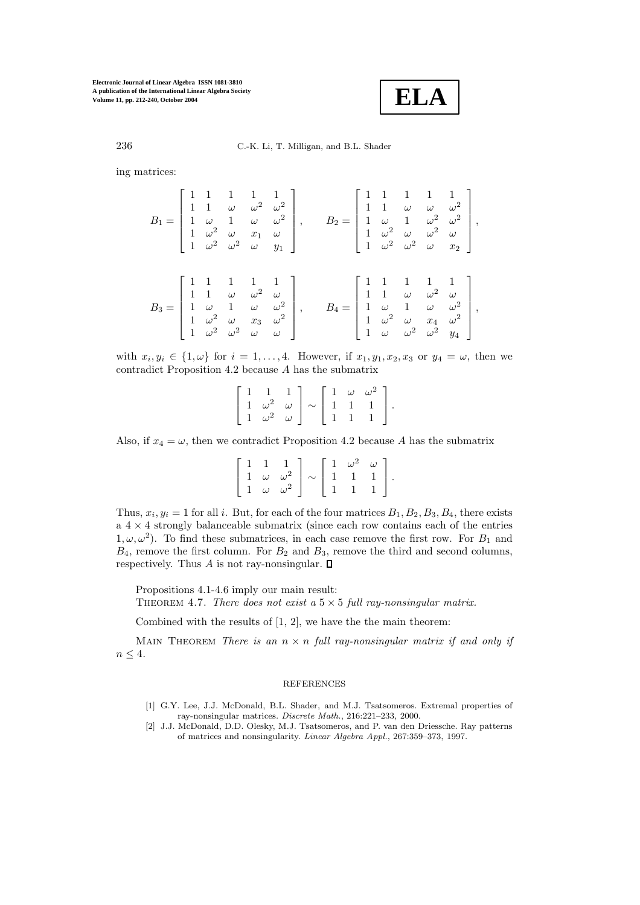

236 C.-K. Li, T. Milligan, and B.L. Shader

ing matrices:

$$
B_1 = \begin{bmatrix} 1 & 1 & 1 & 1 & 1 \\ 1 & 1 & \omega & \omega^2 & \omega^2 \\ 1 & \omega & 1 & \omega & \omega^2 \\ 1 & \omega^2 & \omega & x_1 & \omega \\ 1 & \omega^2 & \omega^2 & \omega & y_1 \end{bmatrix}, \qquad B_2 = \begin{bmatrix} 1 & 1 & 1 & 1 & 1 \\ 1 & 1 & \omega & \omega & \omega^2 \\ 1 & \omega & 1 & \omega^2 & \omega^2 \\ 1 & \omega^2 & \omega & \omega^2 & \omega \\ 1 & \omega^2 & \omega^2 & \omega & x_2 \end{bmatrix},
$$

$$
B_3 = \begin{bmatrix} 1 & 1 & 1 & 1 & 1 \\ 1 & 1 & \omega & \omega^2 & \omega \\ 1 & \omega & \omega^2 & \omega & \omega^2 \\ 1 & \omega^2 & \omega & x_3 & \omega^2 \\ 1 & \omega^2 & \omega^2 & \omega & \omega \end{bmatrix}, \qquad B_4 = \begin{bmatrix} 1 & 1 & 1 & 1 & 1 \\ 1 & 1 & \omega & 1 & \omega \\ 1 & 1 & \omega & \omega^2 & \omega \\ 1 & \omega & 1 & \omega & \omega^2 \\ 1 & \omega^2 & \omega & x_4 & \omega^2 \\ 1 & \omega & \omega^2 & \omega^2 & y_4 \end{bmatrix},
$$

with  $x_i, y_i \in \{1, \omega\}$  for  $i = 1, \ldots, 4$ . However, if  $x_1, y_1, x_2, x_3$  or  $y_4 = \omega$ , then we contradict Proposition 4.2 because A has the submatrix

$$
\left[\begin{array}{ccc} 1 & 1 & 1 \\ 1 & \omega^2 & \omega \\ 1 & \omega^2 & \omega \end{array}\right] \sim \left[\begin{array}{ccc} 1 & \omega & \omega^2 \\ 1 & 1 & 1 \\ 1 & 1 & 1 \end{array}\right].
$$

Also, if  $x_4 = \omega$ , then we contradict Proposition 4.2 because A has the submatrix

$$
\left[\begin{array}{ccc} 1 & 1 & 1 \\ 1 & \omega & \omega^2 \\ 1 & \omega & \omega^2 \end{array}\right] \sim \left[\begin{array}{ccc} 1 & \omega^2 & \omega \\ 1 & 1 & 1 \\ 1 & 1 & 1 \end{array}\right].
$$

Thus,  $x_i, y_i = 1$  for all i. But, for each of the four matrices  $B_1, B_2, B_3, B_4$ , there exists  $a \, 4 \times 4$  strongly balanceable submatrix (since each row contains each of the entries  $1, \omega, \omega^2$ ). To find these submatrices, in each case remove the first row. For  $B_1$  and  $B_4$ , remove the first column. For  $B_2$  and  $B_3$ , remove the third and second columns, respectively. Thus A is not ray-nonsingular.  $\square$ 

Propositions 4.1-4.6 imply our main result: THEOREM 4.7. *There does not exist a*  $5 \times 5$  *full ray-nonsingular matrix.* 

Combined with the results of [1, 2], we have the the main theorem:

MAIN THEOREM *There is an*  $n \times n$  *full ray-nonsingular matrix if and only if*  $n < 4$ .

#### REFERENCES

- [1] G.Y. Lee, J.J. McDonald, B.L. Shader, and M.J. Tsatsomeros. Extremal properties of ray-nonsingular matrices. *Discrete Math.*, 216:221–233, 2000.
- [2] J.J. McDonald, D.D. Olesky, M.J. Tsatsomeros, and P. van den Driessche. Ray patterns of matrices and nonsingularity. *Linear Algebra Appl.*, 267:359–373, 1997.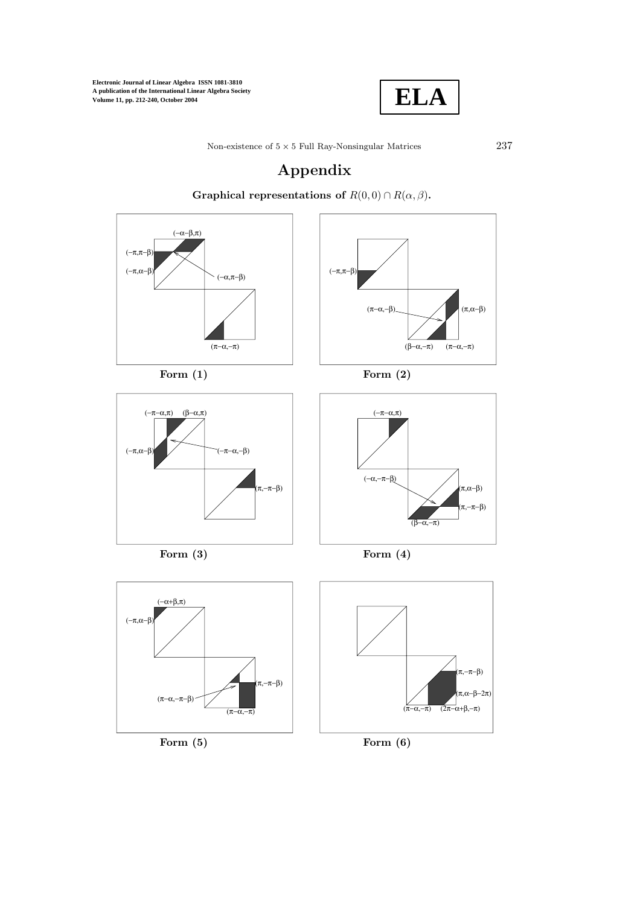

# **Appendix**



**Graphical representations of**  $R(0,0) \cap R(\alpha,\beta)$ .



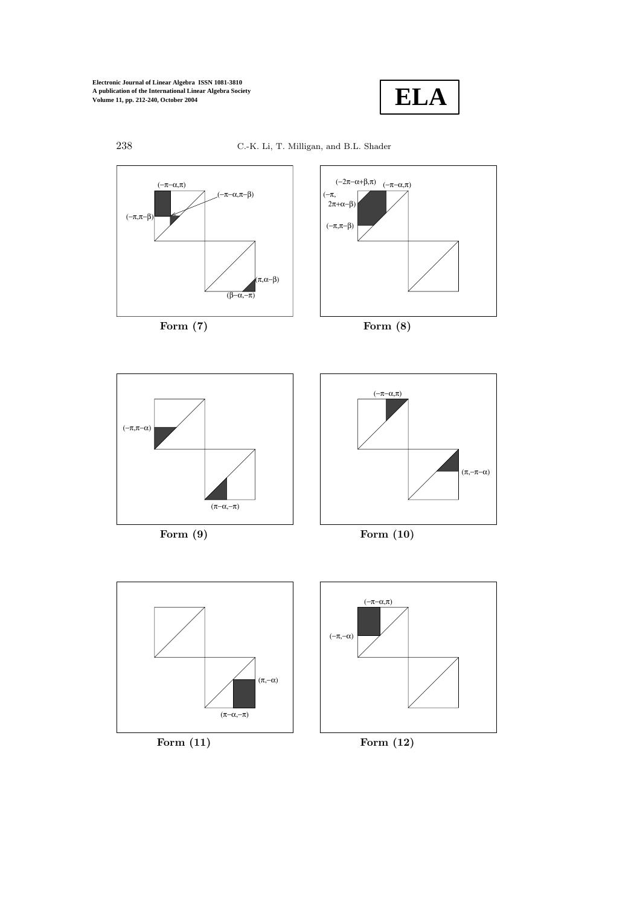

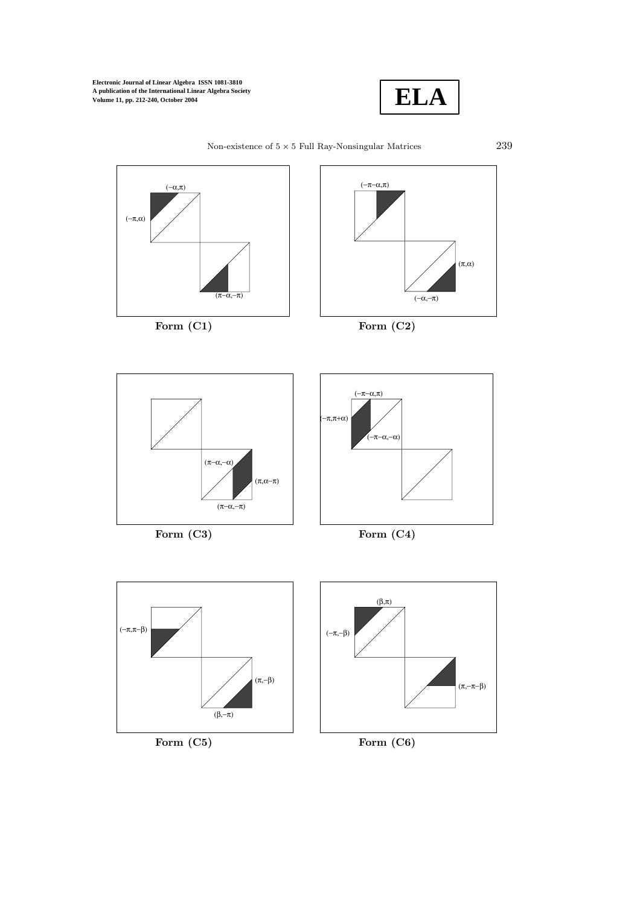